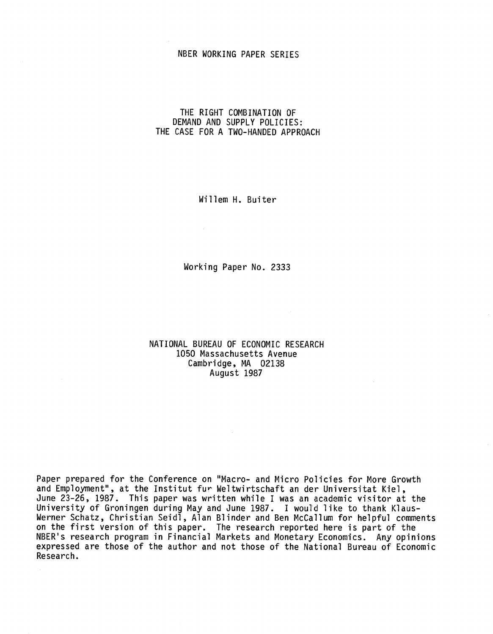# NBER WORKING PAPER SERIES

# THE RIGHT COMBINATION OF DEMAND AND SUPPLY POLICIES: THE CASE FOR A TWO-HANDED APPROACH

Willem H. Buiter

Working Paper No. 2333

NATIONAL BUREAU OF ECONOMIC RESEARCH 1050 Massachusetts Avenue Cambridge, MA 02138 August 1987

Paper prepared for the Conference on "Macro- and Micro Policies for More Growth and Employment", at the Institut fur Weltwirtschaft an der Universitat Kiel, June 23—26, 1987. This paper was written while I was an academic visitor at the University of Groningen during May and June 1987. I would like to thank Klaus-Werner Schatz, Christian Seidl, Alan Blinder and Ben McCallum for helpful comments on the first version of this paper. The research reported here is part of the NBER's research program in Financial Markets and Monetary Economics. Any opinions expressed are those of the author and not those of the National Bureau of Economic Research.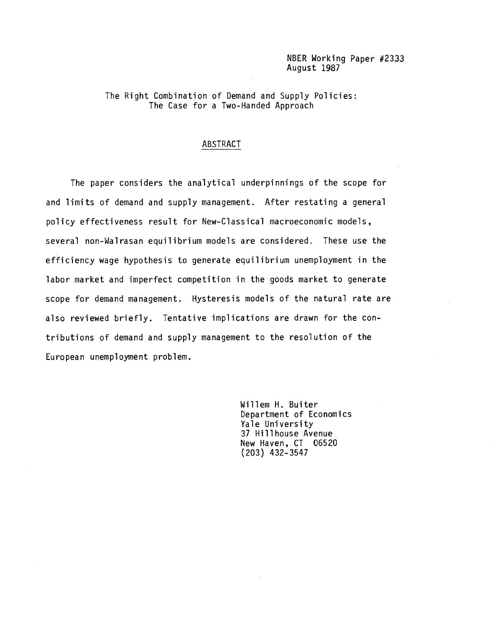# NBER Working Paper #2333 August 1987

# The Right Combination of Demand and Supply Policies: The Case for a Two-Handed Approach

# ABSTRACT

The paper considers the analytical underpinnings of the scope for and limits of demand and supply management. After restating a general policy effectiveness result for New—Classical macroeconomic models, several non-Wairasan equilibrium models are considered. These use the efficiency wage hypothesis to generate equilibrium unemployment in the labor market and imperfect competition in the goods market to generate scope for demand management. Hysteresis models of the natural rate are also reviewed briefly. Tentative implications are drawn for the contributions of demand and supply management to the resolution of the European unemployment problem.

> Willem H. Buiter Department of Economics Yale University 37 Hillhouse Avenue New Haven, CT 06520 (203) 432—3547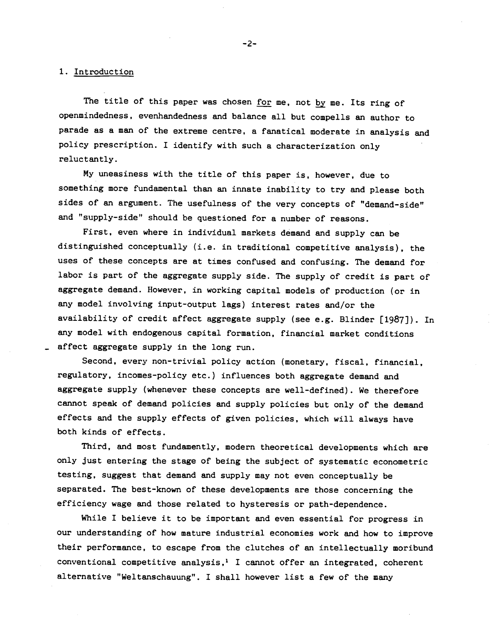#### 1. Introduction

The title of this paper was chosen for me, not by me. Its ring of openmindedness, evenhandedness and balance all but compells an author to parade as a man of the extreme centre, a fanatical moderate in analysis and policy prescription. I identify with such a characterization only reluctantly.

My uneasiness with the title of this paper is, however, due to something more fundamental than an innate inability to try and please both sides of an argument. The usefulness of the very concepts of "demand-side" and "supply-side" should be questioned for a number of reasons.

First, even where in individual markets demand and supply can be distinguished conceptually (i.e. in traditional competitive analysis), the uses of these concepts are at times confused and confusing. The demand for labor is part of the aggregate supply side. The supply of credit is part of aggregate demand. However, in working capital models of production (or in any model involving input-output lags) interest rates and/or the availability of credit affect aggregate supply (see e.g. Blinder [1987]). In any model with endogenous capital formation, financial market conditions affect aggregate supply in the long run.

Second, every non-trivial policy action (monetary, fiscal, financial, regulatory, incomes-policy etc.) influences both aggregate demand and aggregate supply (whenever these concepts are well-defined). We therefore cannot speak of demand policies and supply policies but only of the demand effects and the supply effects of given policies, which will always have both kinds of effects.

Third, and most fundamently, modern theoretical developments which are only just entering the stage of being the subject of' systematic econometric testing, suggest that demand and supply may not even conceptually be separated. The best-known of these developments are those concerning the efficiency wage and those related to hysteresis or path-dependence.

While I believe it to be important and even essential for progress in our understanding of how mature industrial economies work and how to improve their performance, to escape from the clutches of an intellectually moribund conventional competitive analysis,<sup>1</sup> I cannot offer an integrated, coherent alternative "Weltanschauung". I shall however list a few of' the many

-2-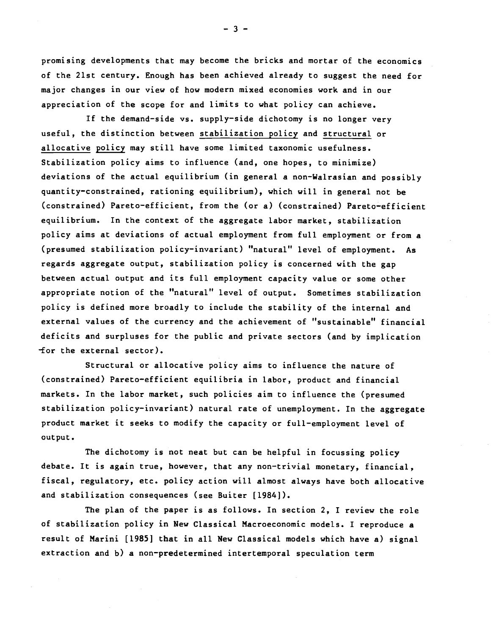promising developments that may become the bricks and mortar of the economics of the 21st century. Enough has been achieved already to suggest the need for major changes in our view of how modern mixed economies work and in our appreciation of the scope for and limits to what policy can achieve.

If the demand—side vs. supply—side dichotomy is no longer very useful, the distinction between stabilization policy and structural or allocative policy may still have some limited taxonomic usefulness. Stabilization policy aims to influence (and, one hopes, to minimize) deviations of the actual equilibrium (in general a non—Wairasian and possibly quantity—constrained, rationing equilibrium), which will in general not be (constrained) Pareto—efficient, from the (or a) (constrained) Pareto—efficient equilibrium. In the context of the aggregate labor market, stabilization policy aims at deviations of actual employment from full employment or from a (presumed stabilization policy—invariant) "natural" level of employment. As regards aggregate output, stabilization policy is concerned with the gap between actual output and its full employment capacity value or some other appropriate notion of the "natural" level of output. Sometimes stabilization policy is defined more broadly to include the stability of the internal and external values of the currency and the achievement of "sustainable" financial deficits and surpluses for the public and private sectors (and by implication for the external sector).

Structural or allocative policy aims to influence the nature of (constrained) Pareto—efficient equilibria in labor, product and financial markets. In the labor market, such policies aim to influence the (presumed stabilization policy—invariant) natural rate of unemployment. In the aggregate product market it seeks to modify the capacity or full—employment level of output.

The dichotomy is not neat but can be helpful in focussing policy debate. It is again true, however, that any non—trivial monetary, financial, fiscal, regulatory, etc. policy action will almost always have both allocative and stabilization consequences (see Buiter [1984]).

The plan of the paper is as follows. In section 2, I review the role of stabilization policy in New Classical Macroeconomic models. I reproduce a result of Marini [1985] that in all New Classical models which have a) signal extraction and b) a non—predetermined intertemporal speculation term

—3—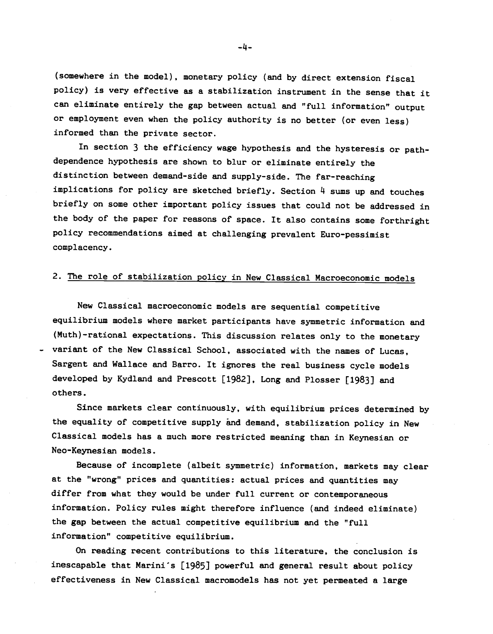(somewhere in the model), monetary policy (and by direct extension fiscal policy) is very effective as a stabilization instrument in the sense that it can eliminate entirely the gap between actual and "full information" output or employment even when the policy authority is no better (or even less) informed than the private sector.

In section 3 the efficiency wage hypothesis and the hysteresis or pathdependence hypothesis are shown to blur or eliminate entirely the distinction between demand-side and supply-side. The far-reaching implications for policy are sketched briefly. Section  $4$  sums up and touches briefly on some other important policy issues that could not be addressed in the body of the paper for reasons of space. It also contains some forthright policy recommendations aimed at challenging prevalent Euro-pessimist complacency.

# 2. The role of stabilization policy in New Classical Macroeconomic models

New Classical macroeconomic models are sequential competitive equilibrium models where market participants have symmetric information and (Muth)-rational expectations. This discussion relates only to the monetary variant of the New Classical School, associated with the names of Lucas, Sargent and Wallace and Barro. It ignores the real business cycle models developed by Kydland and Prescott [1982], Long and Plosser [1983] and others.

Since markets clear continuously, with equilibrium prices determined by the equality of competitive supply and demand, stabilization policy in New Classical models has a much more restricted meaning than in Keynesian or Neo-Keynesian models.

Because of incomplete (albeit symmetric) information, markets may clear at the "wrong" prices and quantities: actual prices and quantities may differ from what they would be under full current or contemporaneous information. Policy rules might therefore influence (and indeed eliminate) the gap between the actual competitive equilibrium and the "full information" competitive equilibrium.

On reading recent contributions to this literature, the conclusion is inescapable that Marinis [1985] powerful and general result about policy effectiveness in New Classical macromodels has not yet permeated a large

-4-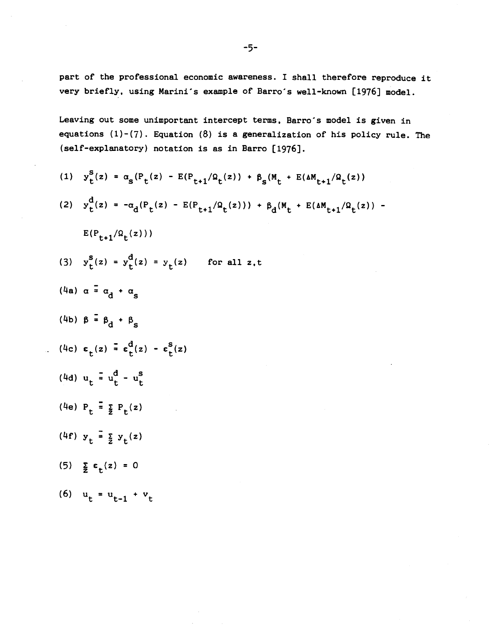part of the professional economic awareness. I shall therefore reproduce it very briefly, using Marini's example of Barro's well-known [1976] model.

Leaving out some unimportant intercept terms, Barro's model is given in equations  $(1)-(7)$ . Equation  $(8)$  is a generalization of his policy rule. The (self-explanatory) notation is as in Barro [1976).

(1) 
$$
y_t^S(z) = \alpha_s (P_t(z) - E(P_{t+1}/\Omega_t(z)) + \beta_s (M_t + E(AM_{t+1}/\Omega_t(z)))
$$
  
\n(2)  $y_t^d(z) = -\alpha_d (P_t(z) - E(P_{t+1}/\Omega_t(z))) + \beta_d (M_t + E(AM_{t+1}/\Omega_t(z)) - E(P_{t+1}/\Omega_t(z)))$   
\n $E(P_{t+1}/\Omega_t(z)))$   
\n(3)  $y_t^S(z) = y_t^d(z) = y_t(z)$  for all z,t  
\n(4a)  $\alpha = \alpha_d + \alpha_s$   
\n(4b)  $\beta = \beta_d + \beta_s$   
\n(4c)  $\epsilon_t(z) = \epsilon_t^d(z) - \epsilon_t^S(z)$   
\n(4d)  $u_t = u_t^d - u_t^g$   
\n(4e)  $P_t = \frac{z}{2} P_t(z)$   
\n(4f)  $y_t = \frac{z}{2} y_t(z)$   
\n(5)  $\sum_{i=1}^{\infty} \epsilon_t(z) = 0$   
\n(6)  $u_t = u_{t-1} + v_t$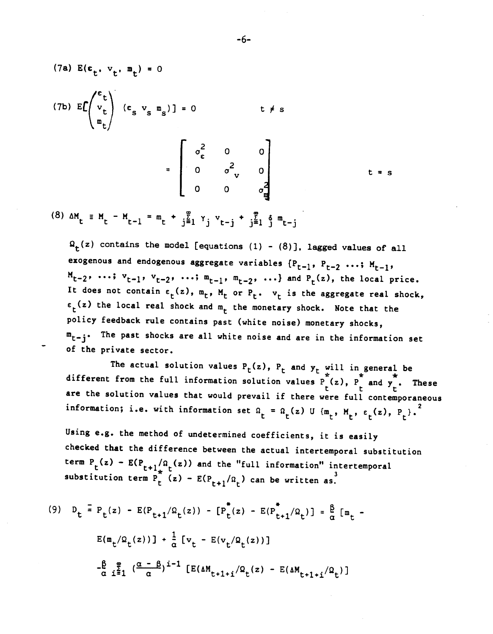(7a) 
$$
E(\epsilon_t, v_t, m_t) = 0
$$
  
\n(7b)  $E\left(\begin{array}{c} e_t \\ v_t \\ m_t \end{array}\right)$   $(\epsilon_s v_s m_s) = 0$   $t \neq s$   
\n
$$
= \begin{bmatrix} \sigma_{\epsilon}^2 & 0 & 0 \\ 0 & \sigma_{\nu}^2 & 0 \\ 0 & 0 & \sigma_{\nu}^2 \end{bmatrix}
$$
  $t = s$   
\n(8)  $AM = M - M = m + \begin{bmatrix} m & m_t \\ m_t & m_t \end{bmatrix} + \begin{bmatrix} m_t & m_t \\ m_t & m_t \end{bmatrix} + \begin{bmatrix} m_t & m_t \\ m_t & m_t \end{bmatrix} + \begin{bmatrix} m_t & m_t \\ m_t & m_t \end{bmatrix} + \begin{bmatrix} m_t & m_t \\ m_t & m_t \end{bmatrix} + \begin{bmatrix} m_t & m_t \\ m_t & m_t \end{bmatrix} + \begin{bmatrix} m_t & m_t \\ m_t & m_t \end{bmatrix} + \begin{bmatrix} m_t & m_t \\ m_t & m_t \end{bmatrix} + \begin{bmatrix} m_t & m_t \\ m_t & m_t \end{bmatrix} + \begin{bmatrix} m_t & m_t \\ m_t & m_t \end{bmatrix} + \begin{bmatrix} m_t & m_t \\ m_t & m_t \end{bmatrix} + \begin{bmatrix} m_t & m_t \\ m_t & m_t \end{bmatrix} + \begin{bmatrix} m_t & m_t \\ m_t & m_t \end{bmatrix} + \begin{bmatrix} m_t & m_t \\ m_t & m_t \end{bmatrix} + \begin{bmatrix} m_t & m_t \\ m_t & m_t \end{bmatrix} + \begin{bmatrix} m_t & m_t \\ m_t & m_t \end{bmatrix} + \begin{bmatrix} m_t & m_t \\ m_t & m_t \end{bmatrix} + \begin{bmatrix} m_t & m_t \\ m_t & m_t \end{bmatrix} + \begin{bmatrix} m_t & m_t \\ m_t & m_t \end{bmatrix} + \begin{bmatrix} m_t & m_t \\ m_t & m_t \end{bmatrix} + \begin{bmatrix} m_t & m_t \\ m_t & m_t \end{bmatrix} + \begin{bmatrix} m_t & m_t \\ m_t & m_t \end{bmatrix} + \begin{bmatrix} m_t & m_t \\ m_t & m_t \end{bmatrix} + \begin{bmatrix} m_t & m_t \\ m_t & m_t \end{bmatrix} + \begin{bmatrix} m_t & m_t$ 

(8)  $\Delta M_t \equiv M_t - M_{t-1} = m_t + \frac{1}{2} \sum_{i=1}^{k} Y_i + \sum_{j=1}^{k} \sum_{j=1}^{k} \sum_{j=1}^{k} m_{t-j}$ 

 $\Omega_{\text{r}}(z)$  contains the model [equations (1) - (8)], lagged values of all exogenous and endogenous aggregate variables  ${P_{t-1}, P_{t-2} \cdots; M_{t-1}}$  $M_{t-2}$ , ...;  $v_{t-1}$ ,  $v_{t-2}$ , ...;  $m_{t-1}$ ,  $m_{t-2}$ , ...} and  $P_t(z)$ , the local price. It does not contain  $\varepsilon_t(z)$ ,  $m_t$ ,  $M_t$  or  $P_t$ .  $v_t$  is the aggregate real shock,  $\varepsilon_t(z)$  the local real shock and  $m_t$  the monetary shock. Note that the policy feedback rule contains past (white noise) monetary shocks,  $m_{t-i}$ . The past shocks are all white noise and are in the information set of the private sector.

The actual solution values  $P_t(z)$ ,  $P_t$  and  $y_t$  will in general be<br>from the full information and it is  $\phi'$ different from the full information solution values  $P(x)$ ,  $P_{\perp}$  and  $y$ . These are the solution values that would prevail if there were full contemporaneous information; i.e. with information set  $\Omega_t = \Omega_t(z)$  U  $\{m_t, M_t, \varepsilon_t(z), P_t\}$ .

Using e.g. the method of undetermined coefficients, it is easily checked that the difference between the actual intertemporal substitution term  $P_t(z) - E(P_{t+1}/\Omega_t(z))$  and the "full information" intertemporal substitution term  $P_t^*(z) - E(P_{t+1}/\Omega_t)$  can be written as.

(9) 
$$
D_t = P_t(z) - E(P_{t+1}/\Omega_t(z)) - [P_t^*(z) - E(P_{t+1}^*/\Omega_t)] = \frac{\beta}{\alpha} [m_t - E(m_t/\Omega_t(z))] + \frac{1}{\alpha} [v_t - E(v_t/\Omega_t(z))]
$$
  

$$
-\frac{\beta}{\alpha} \sum_{i=1}^{\infty} (\frac{\alpha - \beta}{\alpha})^{i-1} [E(\Delta M_{t+1+i}/\Omega_t(z) - E(\Delta M_{t+1+i}/\Omega_t)]
$$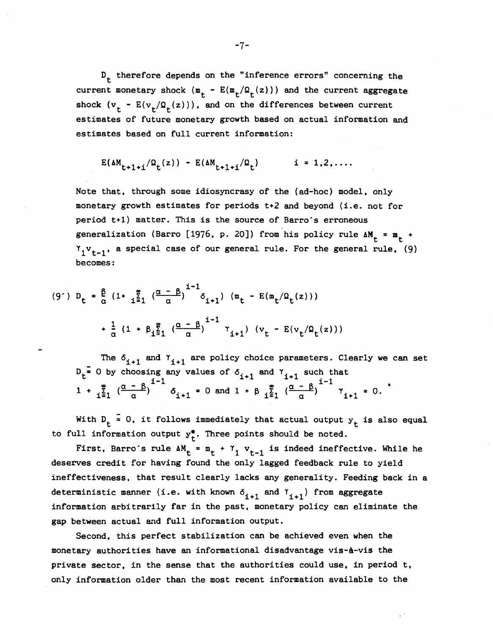$D_t$  therefore depends on the "inference errors" concerning the current monetary shock ( $m_t - E(m_t/Q_t(z))$ ) and the current aggregate shock  $(v_t - E(v_t/Q_t(z)))$ , and on the differences between current estimates of future monetary growth based on actual information and estimates based on full current information:

$$
E(\Delta M_{t+1+i}/\Omega_t(z)) - E(\Delta M_{t+1+i}/\Omega_t)
$$
   
  $i = 1, 2, ...$ 

Note that, through some idiosyncrasy of the (ad-hoc) model, only monetary growth estimates for periods  $t+2$  and beyond (i.e. not for period t+1) matter. This is the source of Barro's erroneous generalization (Barro [1976, p. 20]) from his policy rule  $\Delta M_t$  =  $m_t$  +  $\gamma_1 v_{t-1}$ , a special case of our general rule. For the general rule, (9) becomes:

$$
(9') D_{t} = \frac{\beta}{\alpha} (1 + \frac{\zeta}{1-\zeta_{1}} (\frac{\alpha - \beta}{\alpha})^{1-1} \delta_{i+1}) (\pi_{t} - E(\pi_{t}/\Omega_{t}(z)))
$$
  
+  $\frac{1}{\alpha} (1 + \beta_{1-\zeta_{1}} (\frac{\alpha - \beta}{\alpha})^{1-1} \gamma_{i+1}) (v_{t} - E(v_{t}/\Omega_{t}(z)))$ 

The  $\delta_{i+1}$  and  $\gamma_{i+1}$  are policy choice parameters. Clearly we can set  $D_t^{\frac{1}{n}}$  0 by choosing any values of  $\delta_{i+1}$  and  $\gamma_{i+1}$  such that  $1 + \sum_{i=1}^{\infty} \left( \frac{\alpha - \beta}{\alpha} \right)^{i-1} \delta_{i+1} = 0$  and  $1 + \beta \sum_{i=1}^{\infty} \left( \frac{\alpha - \beta}{\alpha} \right)^{i-1} \gamma_{i+1} = 0$ .

With  $D_t = 0$ , it follows immediately that actual output  $y_t$  is also equal to full information output  $y_t^*$ . Three points should be noted.

First, Barro's rule  $\Delta M_t = m_t + \gamma_1 v_{t-1}$  is indeed ineffective. While he deserves credit for having found the only lagged feedback rule to yield ineffectiveness, that result clearly lacks any generality. Feeding back in a deterministic manner (i.e. with known  $\delta_{i+1}$  and  $\delta_{i+1}$ ) from aggregate information arbitrarily far in the past, monetary policy can eliminate the gap between actual and full information output.

Second, this perfect stabilization can be achieved even when the monetary authorities have an informational disadvantage vis-à-vis the private sector, in the sense that the authorities could use, in period t, only information older than the most recent information available to the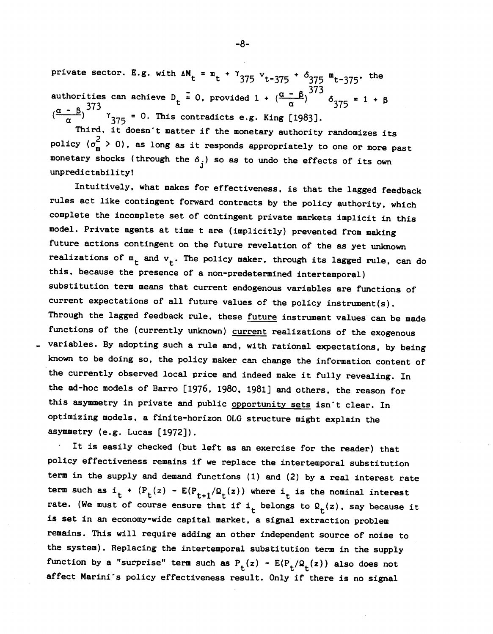private sector. E.g. with  $\Delta M_t = m_t + \gamma_{375} v_{t-375} + \delta_{375} m_{t-375}$ , the authorities can achieve D<sub>t</sub> = 0, provided 1 +  $(\frac{\alpha - \beta}{\alpha})^{373}$   $\delta_{375}$  = 1 +  $\beta$  $-8.373$  and  $\frac{373}{4}$  and  $\frac{373}{4}$ <sup>=</sup> 0. This contradicts e.g. King [1983].

Third, it doesn't matter if the monetary authority randomizes its policy  $(\sigma_m^2 > 0)$ , as long as it responds appropriately to one or more past monetary shocks (through the  $\delta_{i}$ ) so as to undo the effects of its own unpredictability!

Intuitively, what makes for effectiveness, is that the lagged feedback rules act like contingent forward contracts by the policy authority, which complete the incomplete set of contingent private markets implicit in this model. Private agents at time t are (implicitly) prevented from making future actions contingent on the future revelation of the as yet unknown realizations of  $m_t$  and  $v_t$ . The policy maker, through its lagged rule, can do this, because the presence of a non-predetermined intertemporal) substitution term means that current endogenous variables are functions of current expectations of all future values of the policy instrument(s). Through the lagged feedback rule, these future instrument values can be made functions of the (currently unknown) current realizations of the exogenous variables. By adopting such a rule and, with rational expectations, by being known to be doing so, the policy maker can change the information content of the currently observed local price and indeed make it fully revealing. In the ad-hoc models of Barro [1976, 1980, 1981] and others, the reason for this asymmetry in private and public opportunity sets isn't clear. In optimizing models, a finite-horizon OLG structure might explain the asymmetry (e.g. Lucas [1972]).

It is easily checked (but left as an exercise for the reader) that policy effectiveness remains if we replace the intertemporal substitution term in the supply and demand functions (1) and (2) by a real interest rate term such as  $i_t + (P_t(z) - E(P_{t+1}/Q_t(z))$  where  $i_t$  is the nominal interest rate. (We must of course ensure that if  $i_t$  belongs to  $\Omega_t(z)$ , say because it is set in an economy-wide capital market, a signal extraction problem remains. This will require adding an other independent source of noise to the system). Replacing the intertemporal substitution term in the supply function by a "surprise" term such as  $P_t(z) - E(P_t/Q_t(z))$  also does not affect Marini's policy effectiveness result. Only if there is no signal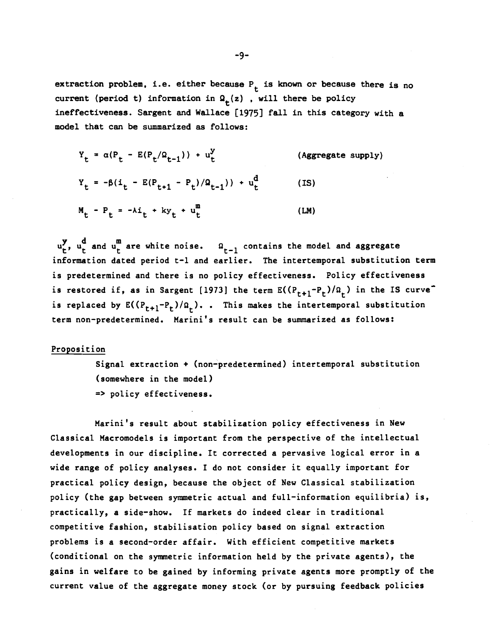extraction problem, i.e. either because  $P_t$  is known or because there is no current (period t) information in  $Q_t(z)$ , will there be policy ineffectiveness. Sargent and Wallace [1975] fall in this category with a model that can be summarized as follows:

$$
Y_{t} = \alpha (P_{t} - E(P_{t}/\Omega_{t-1})) + u_{t}^{y}
$$
 (Aggregate supply)  
\n
$$
Y_{t} = -\beta (i_{t} - E(P_{t+1} - P_{t})/\Omega_{t-1})) + u_{t}^{d}
$$
 (IS)  
\n
$$
M_{t} - P_{t} = -\lambda i_{t} + ky_{t} + u_{t}^{m}
$$
 (LM)

 $u_t^y$ ,  $u_t^d$  and  $u_t^m$  are white noise.  $\Omega_{t-1}$  contains the model and aggregate information dated period t-1 and earlier. The intertemporal substitution term is predetermined and there is no policy effectiveness. Policy effectiveness is restored if, as in Sargent [1973] the term  $E(P_{t+1}-P_t)/\Omega_t$ ) in the IS curve<sup>-</sup> is replaced by  $E((P_{t+1}-P_t)/\Omega_r)$ . . This makes the intertemporal substitution term non—predetermined. Marini's result can be summarized as follows:

# Proposition

Signal extraction + (non—predetermined) intertemporal substitution (somewhere in the model) <sup>&</sup>gt; policy effectiveness.

Marini's result about stabilization policy effectiveness in New Classical Macromodels is important from the perspective of the intellectual developments in our discipline. It corrected a pervasive logical error in a wide range of policy analyses. I do not consider it equally important for practical policy design, because the object of New Classical stabilization policy (the gap between symmetric actual and full—information equilibria) is, practically, a side—show. If markets do indeed clear in traditional competitive fashion, stabilisation policy based on signal extraction problems is a second—order affair. With efficient competitive markets (conditional on the symmetric information held by the private agents), the gains in welfare to be gained by informing private agents more promptly of the current value of the aggregate money stock (or by pursuing feedback policies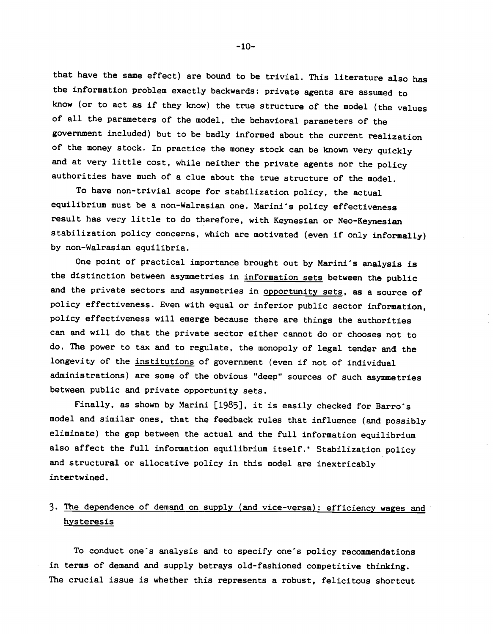that have the same effect) are bound to be trivial. This literature also has the information problem exactly backwards: private agents are assumed to know (or to act as if they know) the true structure of the model (the values of all the parameters of the model, the behavioral parameters of the government included) but to be badly informed about the current realization of the money stock. In practice the money stock can be known very quickly and at very little cost, while neither the private agents nor the policy authorities have much of a clue about the true structure of the model.

To have non-trivial scope for stabilization policy, the actual equilibrium must be a non-Walrasian one. Marini's policy effectiveness result has very little to do therefore, with Keynesian or Neo-Keynesian stabilization policy concerns, which are motivated (even if only informally) by non-Wairasian equilibria.

One point of practical importance brought out by Marini's analysis is the distinction between asymmetries in information sets between the public and the private sectors and asymmetries in opportunity sets, as a source of policy effectiveness. Even with equal or inferior public sector information, policy effectiveness will emerge because there are things the authorities can and will do that the private sector either cannot do or chooses not to do. The power to tax and to regulate, the monopoly of legal tender and the longevity of the institutions of government (even if not of individual administrations) are some of the obvious "deep" sources of such asymmetries between public and private opportunity sets.

Finally, as shown by Marini [1985], it is easily checked for Barro's model and similar ones, that the feedback rules that influence (and possibly eliminate) the gap between the actual and the full information equilibrium also affect the full information equilibrium itself.' Stabilization policy and structural or allocative policy in this model are inextricably intertwined.

# 3. The dependence of demand on supply (and vice-versa): efficiency wages and hysteresis

To conduct one's analysis and to specify one's policy recommendations in terms of demand and supply betrays old-fashioned competitive thinking. The crucial issue is whether this represents a robust, felicitous shortcut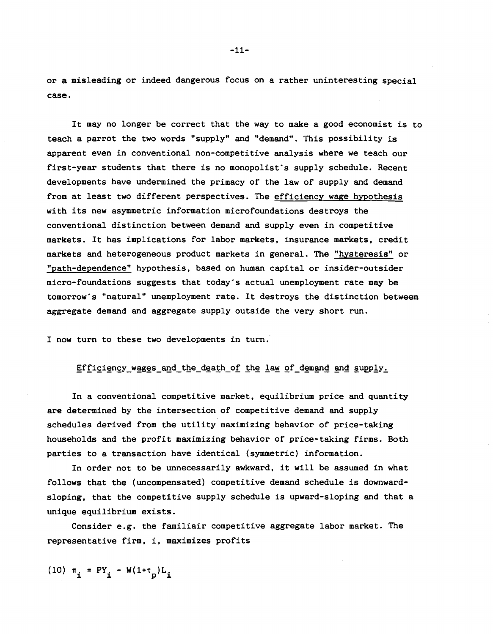or a misleading or indeed dangerous focus on a rather uninteresting special case.

It may no longer be correct that the way to make a good economist is to teach a parrot the two words "supply" and "demand". This possibility is apparent even in conventional non-competitive analysis where we teach our first-year students that there is no monopolist's supply schedule. Recent developments have undermined the primacy of the law of supply and demand from at least two different perspectives. The efficiency wage hypothesis with its new asymmetric information microfoundations destroys the conventional distinction between demand and supply even in competitive markets. It has implications for labor markets, insurance markets, credit markets and heterogeneous product markets in general. The "hysteresis" or "path-dependence" hypothesis, based on human capital or insider-outsider micro-foundations suggests that today's actual unemployment rate may be tomorrow's "natural" unemployment rate. It destroys the distinction between aggregate demand and aggregate supply outside the very short run.

I now turn to these two developments in turn.

Efficiency wages and the death of the law of demand and supply.

In a conventional competitive market, equilibrium price and quantity are determined by the intersection of competitive demand and supply schedules derived from the utility maximizing behavior of price-taking households and the profit maximizing behavior of price-taking firms. Both parties to a transaction have identical (symmetric) information.

In order not to be unnecessarily awkward, it will be assumed in what follows that the (uncompensated) competitive demand schedule is downwardsloping, that the competitive supply schedule is upward-sloping and that a unique equilibrium exists.

Consider e.g. the familiair competitive aggregate labor market. The representative firm, i, maximizes profits

(10)  $\pi_i$  = PY<sub>i</sub> - W(1+ $\tau_p$ )L<sub>i</sub>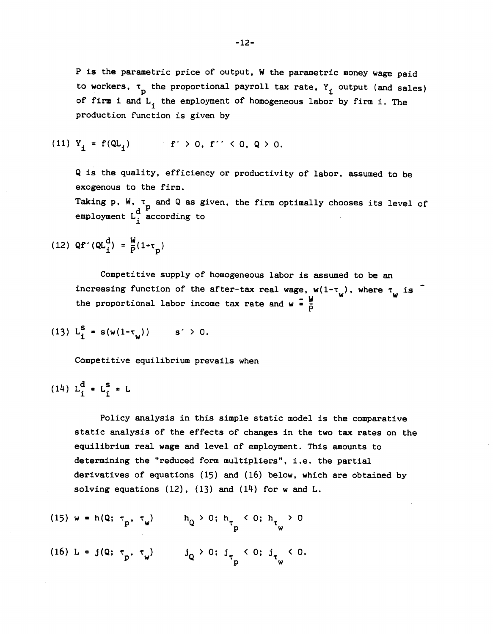P is the parametric price of output, W the parametric money wage paid to workers,  $\tau_{\text{p}}$  the proportional payroll tax rate,  $Y_i$  output (and sales) of firm i and  $L_i$  the employment of homogeneous labor by firm i. The production function is given by

(11) 
$$
Y_i = f(QL_i)
$$
  $f' > 0, f'' < 0, Q > 0.$ 

Q is the quality, efficiency or productivity of labor, assumed to be exogenous to the firm.

Taking p. W.  $\tau_{\text{p}}$  and Q as given, the firm optimally chooses its level of employment  $L_i^d$  according to

(12) 
$$
Qf'(QL_i^d) = \frac{W}{P}(1+\tau_p)
$$

Competitive supply of homogeneous labor is assumed to be an increasing function of the after-tax real wage,  $w(1-\tau_{\omega})$ , where  $\tau_{\omega}$  is the proportional labor income tax rate and  $w = \frac{w}{b}$ 

(13) 
$$
L_i^S = s(w(1-\tau_w))
$$
 s' > 0.

Competitive equilibrium prevails when

$$
(14) L_i^d = L_i^s = L
$$

Policy analysis in this simple static model is the comparative static analysis of the effects of changes in the two tax rates on the equilibrium real wage and level of employment. This amounts to determining the "reduced form multipliers", i.e. the partial derivatives of equations (15) and (16) below, which are obtained by solving equations  $(12)$ ,  $(13)$  and  $(14)$  for w and L.

(15) 
$$
w = h(Q; \tau_p, \tau_w)
$$
  $h_Q > 0; h_{\tau_p} < 0; h_{\tau_w} > 0$   
(16)  $L = j(Q; \tau_p, \tau_w)$   $j_Q > 0; j_{\tau_p} < 0; j_{\tau_w} < 0$ .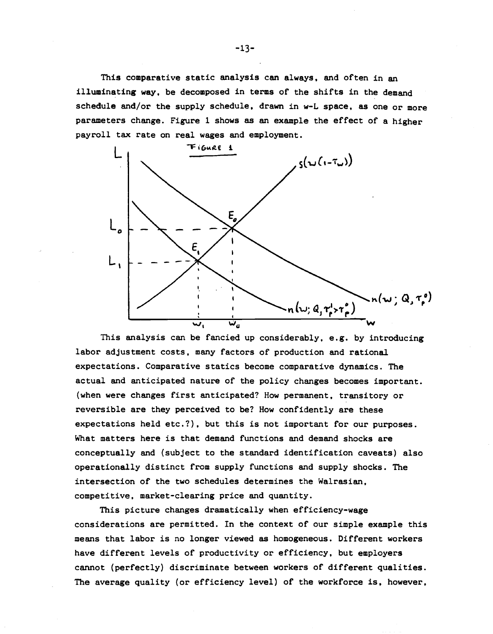This comparative static analysis can always, and often in an illuminating way, be decomposed in terms of the shifts in the demand schedule and/or the supply schedule, drawn in w-L space, as one or more parameters change. Figure 1 shows as an example the effect of a higher payroll tax rate on real wages and employment.



This analysis can be fancied up considerably, e.g. by introducing labor adjustment costs, many factors of production and rational expectations. Comparative statics become comparative dynamics. The actual and anticipated nature of the policy changes becomes important. (when were changes first anticipated? How permanent, transitory or reversible are they perceived to be? How confidently are these expectations held etc.?), but this is not important for our purposes. What matters here is that demand functions and demand shocks are conceptually and (subject to the standard identification caveats) also operationally distinct from supply functions and supply shocks. The intersection of the two schedules determines the Wairasian, competitive, market-clearing price and quantity.

This picture changes dramatically when efficiency-wage considerations are permitted. In the context of our simple example this means that labor is no longer viewed as homogeneous. Different workers have different levels of productivity or efficiency, but employers cannot (perfectly) discriminate between workers of different qualities. The average quality (or efficiency level) of the workforce is, however,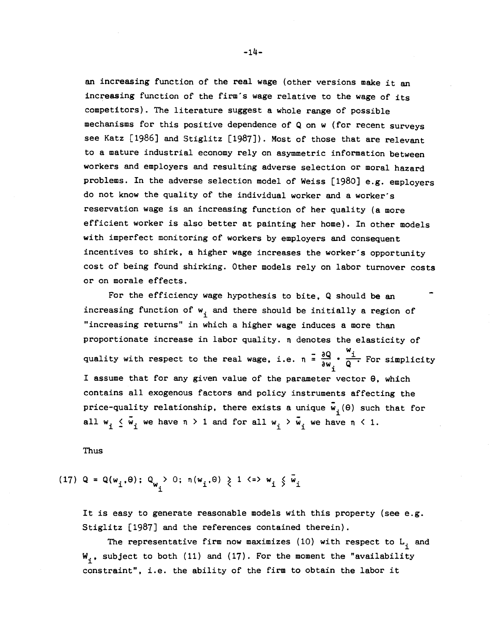an increasing function of the real wage (other versions make it an increasing function of the firm's wage relative to the wage of its competitors). The literature suggest a whole range of possible mechanisms for this positive dependence of Q on w (for recent surveys see Katz [1986] and Stiglitz [1987]). Most of those that are relevant to a mature industrial economy rely on asymmetric information between workers and employers and resulting adverse selection or moral hazard problems. In the adverse selection model of Weiss [1980) e.g. employers do not know the quality of the individual worker and a Worker's reservation wage is an increasing function of her quality (a more efficient worker is also better at painting her home). In other models with imperfect monitoring of workers by employers and consequent incentives to shirk, a higher wage increases the worker's opportunity cost of being found shirking. Other models rely on labor turnover costs or on morale effects.

For the efficiency wage hypothesis to bite, Q should be an increasing function of  $w_i$  and there should be initially a region of "increasing returns" in which a higher wage induces a more than proportionate increase in labor quality. n denotes the elasticity of quality with respect to the real wage, i.e.  $n = \frac{\partial Q}{\partial w}$ .  $\frac{w_i}{Q}$ . For simplicity I assume that for any given value of the parameter vector  $\theta$ , which contains all exogenous factors and policy instruments affecting the price-quality relationship, there exists a unique  $\bar{w}_{1}(\theta)$  such that for all  $w_i \nleq \tilde{w}_i$  we have  $n > 1$  and for all  $w_i > \tilde{w}_i$  we have  $n \leq 1$ .

Thus

(17) 
$$
Q = Q(w_i, \theta); Q_{w_i} > 0; \eta(w_i, \theta) \ge 1 \iff w_i \le \overline{w}_i
$$

It is easy to generate reasonable models with this property (see e.g. Stiglitz [1987] and the references contained therein).

The representative firm now maximizes (10) with respect to  $L_i$  and  $W_i$ , subject to both (11) and (17). For the moment the "availability constraint", i.e. the ability of the firm to obtain the labor it

 $-14-$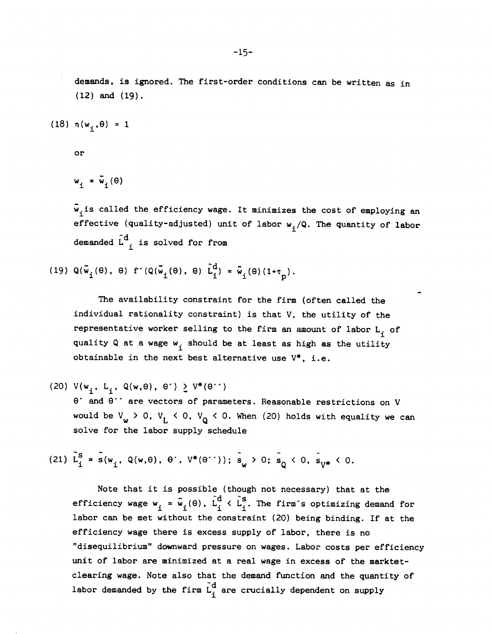demands, is ignored. The first-order conditions can be written as in (12) and (19).

(18)  $n(w_i, \theta) = 1$ 

or

$$
w_{i} = \bar{w}_{i}(\theta)
$$

 $\bar{w}_i$  is called the efficiency wage. It minimizes the cost of employing an effective (quality-adjusted) unit of labor  $w_j/Q$ . The quantity of labor demanded  $\tilde{L}_{i}^{d}$  is solved for from

(19)  $Q(\vec{w}_i(\theta), \theta)$  f  $(Q(\vec{w}_i(\theta), \theta)$   $\tilde{L}_i^d) = \vec{w}_i(\theta) (1+\tau_n)$ .

The availability constraint for the firm (often called the individual rationality constraint) is that V. the utility of the representative worker selling to the firm an amount of labor  $L_i$  of quality Q at a wage  $w_i$  should be at least as high as the utility obtainable in the next best alternative use  $V^*$ , i.e.

(20)  $V(w_i, L_i, Q(w, \theta), \theta') \ge V^*(\theta'')$ 

 $\theta$  and  $\theta$  are vectors of parameters. Reasonable restrictions on V would be  $V_w > 0$ ,  $V_L < 0$ ,  $V_Q < 0$ . When (20) holds with equality we can solve for the labor supply schedule

(21)  $\tilde{L}_{i}^{S} = \tilde{s}(w_{i}, Q(w, \theta), \theta^{\prime}, V^{*}(\theta^{\prime\prime})); \tilde{s}_{w} > 0; \tilde{s}_{0} < 0, \tilde{s}_{v*} < 0.$ 

Note that it is possible (though not necessary) that at the efficiency wage  $w_i = \bar{w}_i(\theta)$ ,  $\tilde{L}_i^d \times \tilde{L}_i^s$ . The firm's optimizing demand for labor can be met without the constraint (20) being binding. If at the efficiency wage there is excess supply of labor, there is no "disequilibrium" downward pressure on wages. Labor costs per efficiency unit of labor are minimized at a real wage in excess of the marktetclearing wage. Note also that the demand function and the quantity of labor demanded by the firm  $\tilde{L}_i^d$  are crucially dependent on supply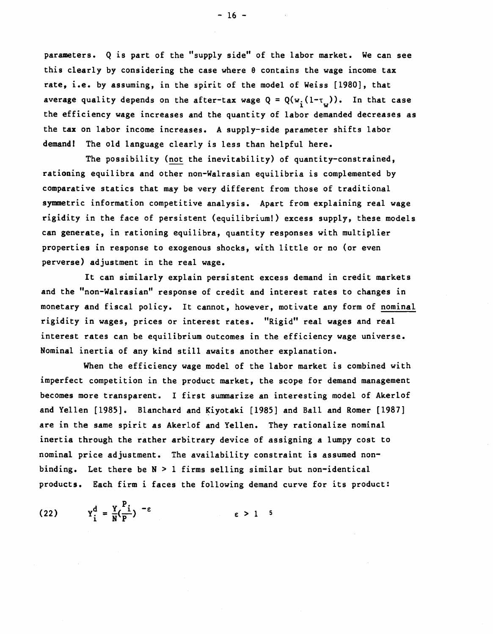parameters. Q is part of the "supply side" of the labor market. We can see this clearly by considering the case where  $\theta$  contains the wage income tax rate, i.e. by assuming, in the spirit of the model of Weiss [1980], that average quality depends on the after-tax wage  $Q = Q(w_i(1-\tau_{i}))$ . In that case the efficiency wage increases and the quantity of labor demanded decreases as the tax on labor income increases. A supply—side parameter shifts labor demand! The old language clearly is less than helpful here.

The possibility (not the inevitability) of quantity-constrained, rationing equilibra and other non—Wairasian equilibria is complemented by comparative statics that may be very different from those of traditional symmetric information competitive analysis. Apart from explaining real wage rigidity in the face of persistent (equilibrium!) excess supply, these models can generate, in rationing equilibra, quantity responses with multiplier properties in response to exogenous shocks, with little or no (or even perverse) adjustment in the real wage.

It can similarly explain persistent excess demand in credit markets and the "non—Wairasian" response of credit and interest rates to changes in monetary and fiscal policy. It cannot, however, motivate any form of nominal rigidity in wages, prices or interest rates. "Rigid" real wages and real interest rates can be equilibrium outcomes in the efficiency wage universe. Nominal inertia of any kind still awaits another explanation.

When the efficiency wage model of the labor market is combined with imperfect competition in the product market, the scope for demand management becomes more transparent. I first summarize an interesting model of Akerlof and Yellen [1985]. Blanchard and Kiyotaki [1985] and Ball and Romer [1987] are in the same spirit as Akerlof and Yellen. They rationalize nominal inertia through the rather arbitrary device of assigning a lumpy cost to nominal price adjustment. The availability constraint is assumed nonbinding. Let there be  $N > 1$  firms selling similar but non-identical products. Each firm i faces the following demand curve for its product:

$$
(22) \t Y_i^d = \frac{Y}{N} \left( \frac{P_i}{P} \right)^{-\epsilon} \t \epsilon > 1
$$

 $-16 -$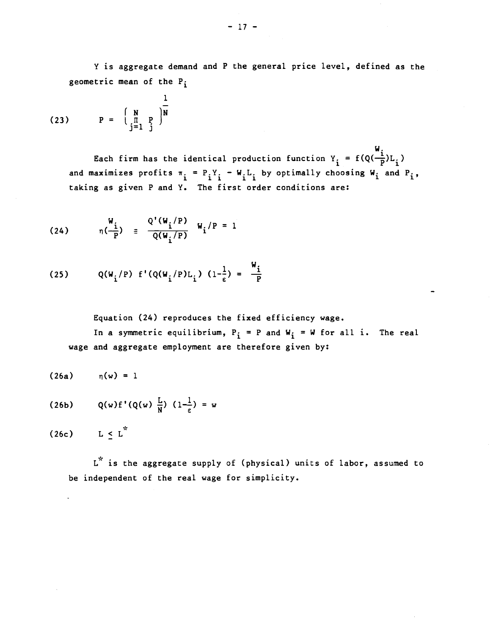Y is aggregate demand and P the general price level, defined as the geometric mean of the  $P_i$ 

(23) 
$$
P = \begin{pmatrix} N & 1 \\ \frac{\Pi}{j-1} & \frac{P}{j} \end{pmatrix} \frac{1}{N}
$$

 $W_{\rm{c}}$  and  $W_{\rm{c}}$ Each firm has the identical production function  $Y_i = f(Q(-\frac{1}{p})L)$ and maximizes profits  $\pi_i = P_i Y_i - W_i L_i$  by optimally choosing  $W_i$  and  $P_i$ , taking as given P and Y. The first order conditions are:

(24) 
$$
\eta(\frac{W_i}{P}) = \frac{Q'(W_i/P)}{Q(W_i/P)} W_i/P = 1
$$

(25) 
$$
Q(W_i/P) f'(Q(W_i/P)L_i) (1-\frac{1}{\epsilon}) = \frac{W_i}{P}
$$

Equation (24) reproduces the fixed efficiency wage.

In a symmetric equilibrium,  $P_i = P$  and  $W_i = W$  for all i. The real wage and aggregate employment are therefore given by:

$$
(26a) \qquad \eta(w) = 1
$$

$$
(26b) \qquad Q(w)f'(Q(w) \frac{L}{N}) (1-\frac{1}{\epsilon}) = w
$$

(26c)  $L \le L^*$ 

L<sup>\*</sup> is the aggregate supply of (physical) units of labor, assumed to be independent of the real wage for simplicity.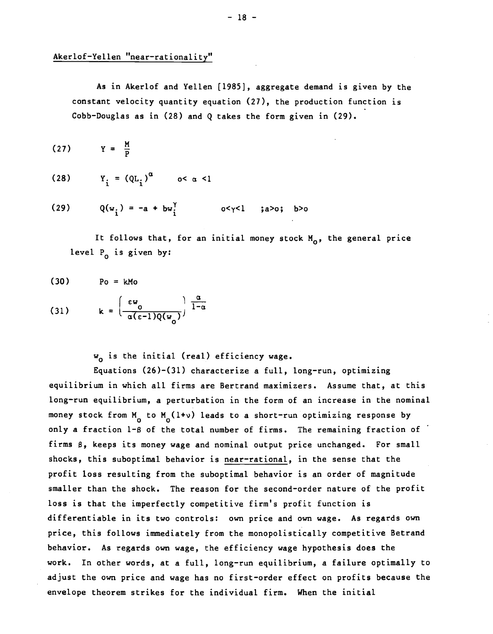# Akerlof—Yellen "near—rationality"

As in Akerlof and Yellen [1985], aggregate demand is given by the constant velocity quantity equation (27), the production function is Cobb—Douglas as in (28) and Q takes the form given in (29).

$$
(27) \tY = \frac{M}{P}
$$

$$
(28) \t Y_i = (QL_i)^{\alpha} \t o < \alpha < 1
$$

(29) 
$$
Q(w_i) = -a + bw_i^{\gamma}
$$
  $o < \gamma < 1$  ;  
a> >0; b>0

It follows that, for an initial money stock  $M_0$ , the general price level  $P_0$  is given by:

$$
(30) \t\t Po = kMo
$$

(31) 
$$
k = \left(\frac{\epsilon w_0}{\alpha(\epsilon - 1)Q(w_0)}\right) \frac{\alpha}{1-\alpha}
$$

 $w_0$  is the initial (real) efficiency wage.

Equations (26)—(31) characterize a full, long—run, optimizing equilibrium in which all firms are Bertrand maximizers. Assume that, at this long—run equilibrium, a perturbation in the form of an increase in the nominal money stock from  $M_{0}$  to  $M_{0}(1+v)$  leads to a short-run optimizing response by only a fraction 1-8 of the total number of firms. The remaining fraction of firms 8, keeps its money wage and nominal output price unchanged. For small shocks, this suboptimal behavior is near-rational, in the sense that the profit loss resulting from the suboptimal behavior is an order of magnitude smaller than the shock. The reason for the second-order nature of the profit loss is that the imperfectly competitive firm's profit function is differentiable in its two controls: own price and own wage. As regards own price, this follows immediately from the monopolistically competitive Betrand behavior. As regards own wage, the efficiency wage hypothesis does the work. In other words, at a full, long—run equilibrium, a failure optimally to adjust the own price and wage has no first—order effect on profits because the envelope theorem strikes for the individual firm. When the initial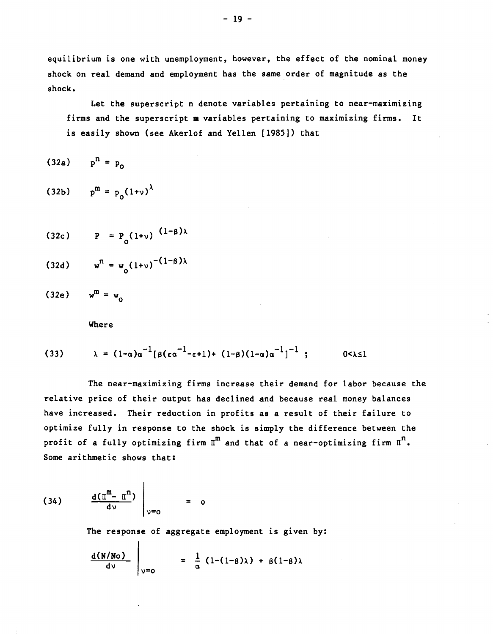equilibrium is one with unemployment, however, the effect of the nominal money shock on real demand and employment has the same order of magnitude as the shock.

Let the superscript n denote variables pertaining to near-maximizing firms and the superscript m variables pertaining to maximizing firms. It is easily shown (see Akerlof and Yellen [1985]) that

$$
(32a) \qquad p^{n} = p_0
$$

(32b)  $p^{m} = p_0(1+v)^{\lambda}$ 

$$
(32c) \qquad P = P_{(1+v)} \frac{(1-\beta)\lambda}{}
$$

$$
(32d) \qquad w^n = w_0 (1+v)^{-(1-\beta)\lambda}
$$

(32e)  $w^m = w_0$ 

Where

(33) 
$$
\lambda = (1-\alpha)\alpha^{-1}[\beta(\epsilon\alpha^{-1}-\epsilon+1) + (1-\beta)(1-\alpha)\alpha^{-1}]^{-1}; \qquad 0 < \lambda \le 1
$$

The near—maximizing firms increase their demand for labor because the relative price of their output has declined and because real money balances have increased. Their reduction in profits as a result of their failure to optimize fully in response to the shock is simply the difference between the profit of a fully optimizing firm  $\overline{u}^m$  and that of a near-optimizing firm  $\overline{u}^n$ . Some arithmetic shows that:

$$
(34) \qquad \frac{d(\mathbb{T}^m - \mathbb{T}^n)}{d\upsilon} \Big|_{\upsilon = 0} = 0
$$

 $\mathbf{I}$ 

The response of aggregate employment is given by:

$$
\frac{d(N/No)}{dv}\Big|_{v=0} = \frac{1}{\alpha} (1-(1-\beta)\lambda) + \beta(1-\beta)\lambda
$$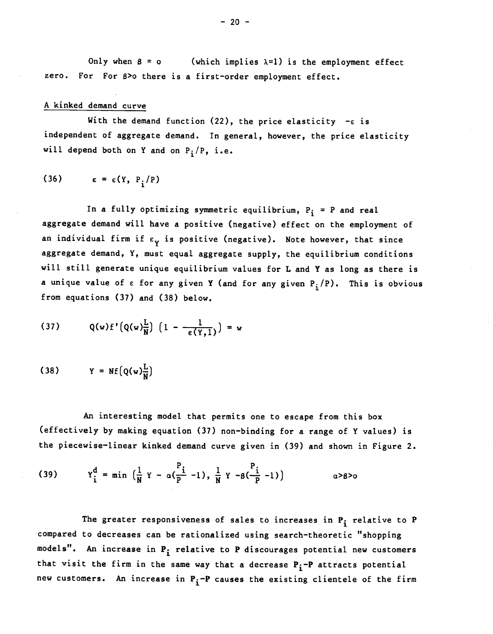Only when  $\beta = 0$  (which implies  $\lambda = 1$ ) is the employment effect zero. For For 8>o there is a first—order employment effect.

### A kinked demand curve

With the demand function (22), the price elasticity  $-\epsilon$  is independent of aggregate demand. In general, however, the price elasticity will depend both on Y and on  $P_i/P$ , i.e.

$$
(36) \qquad \epsilon = \epsilon(Y, P_i/P)
$$

In a fully optimizing symmetric equilibrium,  $P_i = P$  and real aggregate demand will have a positive (negative) effect on the employment of an individual firm if  $\varepsilon_{\gamma}$  is positive (negative). Note however, that since aggregate demand, Y, must equal aggregate supply, the equilibrium conditions will still generate unique equilibrium values for L and Y as long as there is a unique value of  $\varepsilon$  for any given Y (and for any given  $P_1/P$ ). This is obvious from equations (37) and (38) below.

(37) 
$$
Q(w) f'(Q(w) \frac{L}{N}) (1 - \frac{1}{\epsilon(Y,1)}) = w
$$

$$
(38) \qquad Y = Nf(Q(w)\frac{L}{N})
$$

An interesting model that permits one to escape from this box (effectively by making equation (37) non—binding for a range of Y values) is the piecewise—linear kinked demand curve given in (39) and shown in Figure 2.

(39) 
$$
Y_1^d = \min \left( \frac{1}{N} Y - \alpha (\frac{P_1}{P} - 1), \frac{1}{N} Y - \beta (\frac{P_1}{P} - 1) \right)
$$
  $\alpha > \beta > 0$ 

The greater responsiveness of sales to increases in  $P_i$  relative to  $P$ compared to decreases can be rationalized using search—theoretic "shopping models". An increase in  $P_i$  relative to P discourages potential new customers that visit the firm in the same way that a decrease  $P_i$ -P attracts potential new customers. An increase in  $P_i$ -P causes the existing clientele of the firm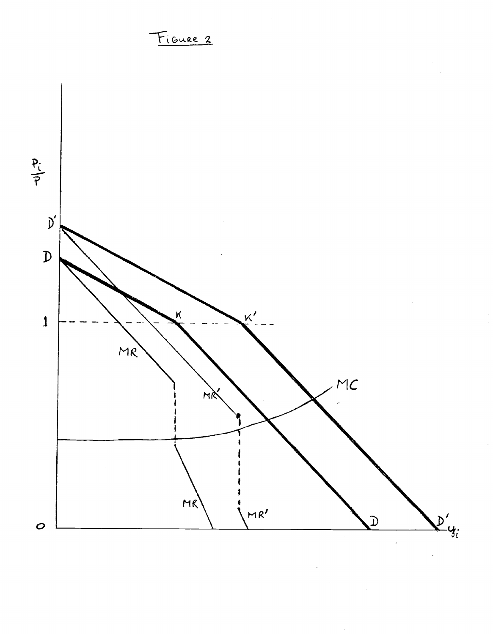

FIGURE 2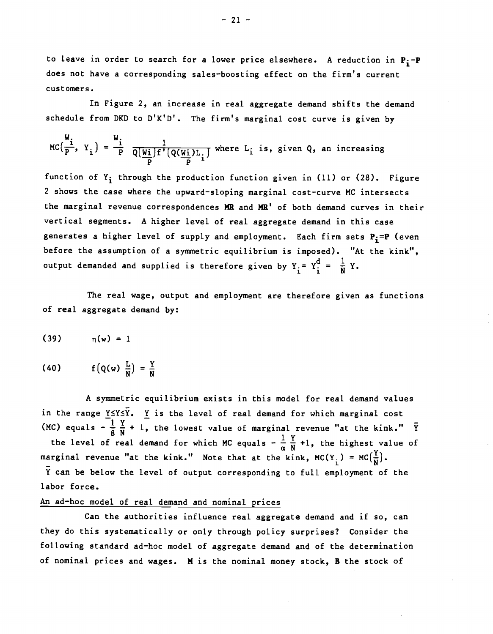to leave in order to search for a lower price elsewhere. A reduction in  $P_i$ - $P$ does not have a corresponding sales—boosting effect on the firm's current customers.

In Figure 2, an increase in real aggregate demand shifts the demand schedule from DKD to D'K'D'. The firm's marginal cost curve is given by

$$
MC\left(\frac{W_i}{P}, Y_i\right) = \frac{W_i}{P} \frac{1}{Q\left(\frac{W_i}{P}\right)F'\left(Q\left(\frac{W_i}{P}\right)L_i\right)}
$$
 where  $L_i$  is, given Q, an increasing

function of  $Y_i$  through the production function given in (11) or (28). Figure 2 shows the case where the upward—sloping marginal cost—curve MC intersects the marginal revenue correspondences MR and MR' of both demand curves in their vertical segments. A higher level of real aggregate demand in this case generates a higher level of supply and employment. Each firm sets  $P_i = P$  (even before the assumption of a symmetric equilibrium is imposed). "At the kink", output demanded and supplied is therefore given by  $Y_i = Y_i^d = \frac{1}{N} Y$ .

The real wage, output and employment are therefore given as functions of real aggregate demand by:

$$
(39) \qquad \qquad \eta(w) = 1
$$

$$
(40) \qquad f\left(Q(w) \frac{L}{N}\right) = \frac{Y}{N}
$$

A symmetric equilibrium exists in this model for real demand values in the range  $\underline{Y} \leq Y \leq \overline{Y}$ .  $\underline{Y}$  is the level of real demand for which marginal cost (MC) equals  $-\frac{1}{2}\frac{Y}{N}+1$ , the lowest value of marginal revenue "at the kink."  $\bar{Y}$ 

the level of real demand for which MC equals  $-\frac{1}{\alpha}\frac{Y}{N}+1$ , the highest value of marginal revenue "at the kink." Note that at the kink,  $MC(Y_i) = MC(\frac{Y}{N})$ .

Y can be below the level of output corresponding to full employment of the labor force.

# An ad—hoc model of real demand and nominal prices

Can the authorities influence real aggregate demand and if so, can they do this systematically or only through policy surprises? Consider the following standard ad-hoc model of aggregate demand and of the determination of nominal prices and wages. H is the nominal money stock, B the stock of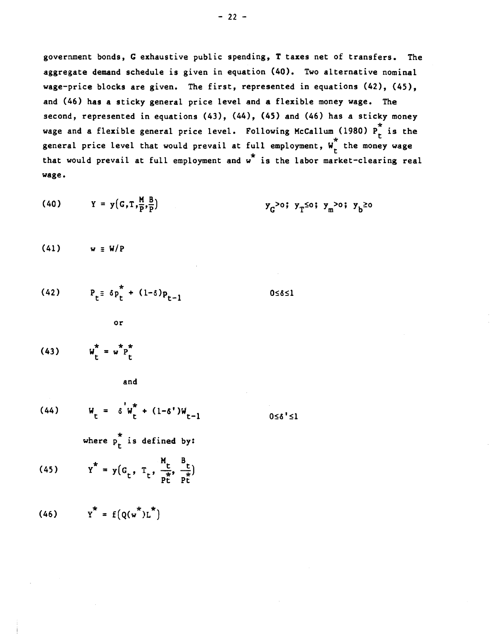$-22 -$ 

government bonds, C exhaustive public spending, T taxes net of transfers. The aggregate demand schedule is given in equation (40). Two alternative nominal wage—price blocks are given. The first, represented in equations (42), (45), and (46) has a sticky general price level and a flexible money wage. The second, represented in equations (43), (44), (45) and (46) has a sticky money wage and a flexible general price level. Following McCallum (1980)  $P_t^*$  is the general price level that would prevail at full employment,  $W_t^*$  the money wage that would prevail at full employment and w\* is the labor market—clearing real wage.

(40) 
$$
Y = y(G, T, \frac{M}{P}, \frac{B}{P})
$$
  $y_G > 0; y_T \le 0; y_m > 0; y_b \ge 0$ 

 $(41)$  w  $\equiv$  W/P

$$
(42) \tPt = \delta pt* + (1-\delta) pt-1 \t 0 \le \delta \le 1
$$

$$
(43) \qquad \qquad W_t^* = w^* P_t^* \qquad (43)
$$

and

or

(44) 
$$
W_t = \delta^{\prime} W_t^* + (1-\delta^{\prime}) W_{t-1}
$$

 $0 \le \delta' \le 1$ 

where  $p_r^*$  is defined by:

(45) 
$$
Y^* = y(G_t, T_t, \frac{M_t}{p_t^*}, \frac{B_t}{p_t^*})
$$

$$
(46) \qquad \qquad Y^* = f\left(Q(w^*)L^*\right)
$$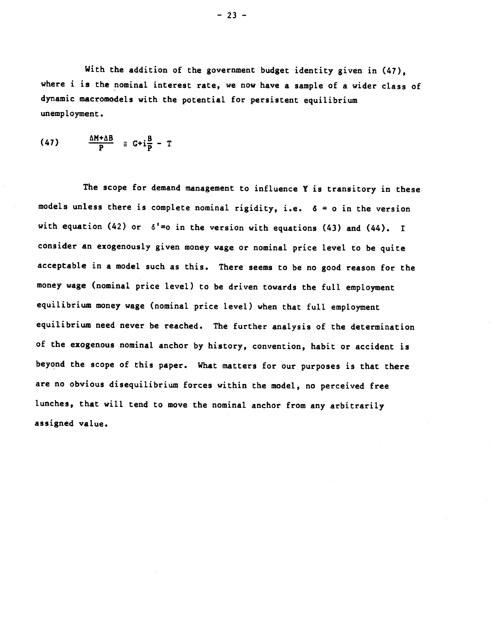With the addition of the government budget identity given in  $(47)$ . where i is the nominal interest rate, we now have a sample of a wider class of dynamic macromodels with the potential for persistent equilibrium unemployment.

$$
(47) \qquad \frac{\Delta M + \Delta B}{P} \equiv G + i \frac{B}{P} - T
$$

The scope for demand management to influence Y is transitory in these models unless there is complete nominal rigidity, i.e. 6 = o in the version with equation (42) or  $\delta' = o$  in the version with equations (43) and (44). I consider an exogenously given money wage or nominal price level to be quite acceptable in a model such as this. There seems to be no good reason for the money wage (nominal price level) to be driven towards the full employment equilibrium money wage (nominal price level) when that full employment equilibrium need never be reached. The further analysis of the determination of the exogenous nominal anchor by history, convention, habit or accident is beyond the scope of this paper. What matters for our purposes is that there are no obvious disequilibrium forces within the model, no perceived free lunches, that will tend to move the nominal anchor from any arbitrarily assigned value.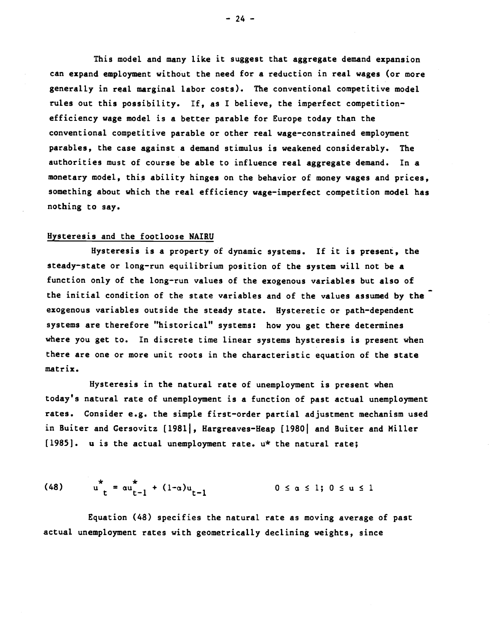This model and many like it suggest that aggregate demand expansion can expand employment without the need for a reduction in real wages (or more generally in real marginal labor costs). The conventional competitive model rules out this possibility. If, as I believe, the imperfect competition efficiency wage model is a better parable for Europe today than the conventional competitive parable or other real wage-constrained employment parables, the case against a demand stimulus is weakened considerably. The authorities must of course be able to influence real aggregate demand. In a monetary model, this ability hinges on the behavior of money wages and prices, something about which the real efficiency wage-imperfect competition model has nothing to say.

### Hysteresis and the footloose NAIRU

Hysteresis is a property of dynamic systems. If it is present, the steady—state or long—run equilibrium position of the system will not be a function only of the long-run values of the exogenous variables but also of the initial condition of the state variables and of the values assumed by the exogenous variables outside the steady state. Hysteretic or path—dependent systems are therefore "historical" systems: how you get there determines where you get to. In discrete time linear systems hysteresis is present when there are one or more unit roots in the characteristic equation of the state matrix.

Hysteresis in the natural rate of unemployment is present when today's natural rate of unemployment is a function of past actual unemployment rates. Consider e.g. the simple first—order partial adjustment mechanism used in Buiter and Gersovitz [1981], Hargreaves-Heap [1980] and Buiter and Miller  $[1985]$ . u is the actual unemployment rate. u\* the natural rate;

(48) 
$$
u_t^* = \alpha u_{t-1}^* + (1-\alpha)u_{t-1}
$$
 0  $\leq \alpha \leq 1$ ;  $0 \leq u \leq 1$ 

Equation (48) specifies the natural rate as moving average of past actual unemployment rates with geometrically declining weights, since

 $-24 -$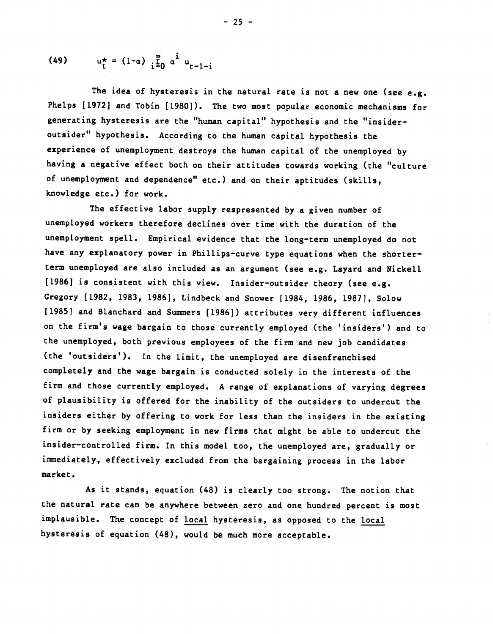(49) 
$$
u_t^* = (1-a) \sum_{i=0}^{\infty} a^i u_{t-1-i}
$$

The idea of hysteresis in the natural rate is not a new one (see  $e.g.$ Phelps [1972] and Tobin [1980]). The two most popular economic mechanisms for generating hysteresis are the "human capital" hypothesis and the "insider outsider" hypothesis. According to the human capital hypothesis the experience of unemployment destroys the human capital of the unemployed by having a negative effect both on their attitudes towards working (the "culture of unemployment and dependence" etc.) and on their aptitudes (skills, knowledge etc.) for work.

The effective labor supply respresented by a given number of unemployed workers therefore declines over time with the duration of the unemployment spell. Empirical evidence that the long-term unemployed do not have any explanatory power in Phillips-curve type equations when the shorterterm unemployed are also included as an argument (see e.g. Layard and Nickell [1986] is consistent with this view. Insider—outsider theory (see e.g. Gregory [1982, 1983, 1986], Lindbeck and Snower [1984, 1986, 1987], Solow [1985] and Blanchard and Summers [1986]) attributes very different influences on the firm's wage bargain to those currently employed (the 'insiders') and to the unemployed, both previous employees of the firm and new job candidates (the 'outsiders'). In the limit, the unemployed are disenfranchised completely and the wage bargain is conducted solely in the interests of the firm and those currently employed. A range of explanations of varying degrees of plausibility is offered for the inability of the outsiders to undercut the insiders either by offering to work for less than the insiders in the existing firm or by seeking employment in new firms that might be able to undercut the insider—controlled firm. In this model too, the unemployed are, gradually or immediately, effectively excluded from the bargaining process in the labor market.

As it stands, equation (48) is clearly too strong. The notion that the natural rate can be anywhere between zero and one hundred percent is most implausible. The concept of local hysteresis, as opposed to the local hysteresis of equation (48), would be much more acceptable.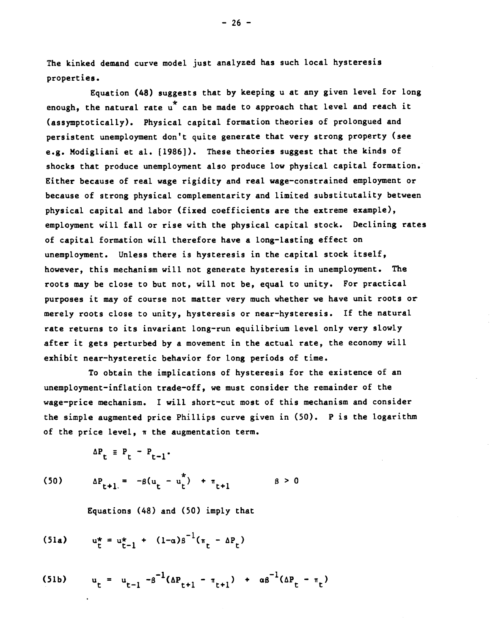The kinked demand curve model just analyzed has such local hysteresis properties.

Equation (48) suggests that by keeping u at any given level for long enough, the natural rate  $u^*$  can be made to approach that level and reach it (assymptotically). Physical capital formation theories of prolongued and persistent unemployment don't quite generate that very strong property (see e.g. Modigliani et al. (1986]). These theories suggest that the kinds of shocks that produce unemployment also produce low physical capital formation. Either because of real wage rigidity and real wage—constrained employment or because of strong physical complementarity and limited substitutality between physical capital and labor (fixed coefficients are the extreme example), employment will fall or rise with the physical capital stock. Declining rates of capital formation will therefore have a long—lasting effect on unemployment. Unless there is hysteresis in the capital stock itself, however, this mechanism will not generate hysteresis in unemployment. The roots may be close to but not, will not be, equal to unity. For practical purposes it may of course not matter very much whether we have unit roots or merely roots close to unity, hysteresis or near—hysteresis. If the natural rate returns to its invariant long-run equilibrium level only very slowly after it gets perturbed by a movement in the actual rate, the economy will exhibit near—hysteretic behavior for long periods of time.

To obtain the implications of hysteresis for the existence of an unemployment—inflation trade—off, we must consider the remainder of the wage—price mechanism. I will short—cut most of this mechanism and consider the simple augmented price Phillips curve given in (50). P is the logarithm of the price level,  $\pi$  the augmentation term.

$$
\Delta P_t \equiv P_t - P_{t-1}.
$$

(50) 
$$
\Delta P_{t+1} = -\beta (u_t - u_t^*) + \pi_{t+1}
$$
  $\beta > 0$ 

Equations (48) and (50) imply that

(51a) 
$$
u_t^* = u_{t-1}^* + (1-a)s^{-1}(\pi_t - \Delta P_t)
$$

(51b) 
$$
u_t = u_{t-1} - \beta^{-1}(\Delta P_{t+1} - \pi_{t+1}) + \alpha \beta^{-1}(\Delta P_t - \pi_t)
$$

 $-26 -$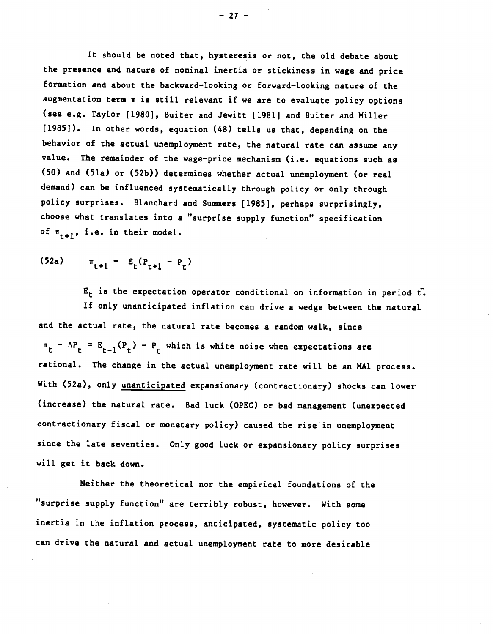It should be noted that, hysteresis or not, the old debate about the presence and nature of nominal inertia or stickiness in wage and price formation and about the backward—looking or forward—looking nature of the augmentation term w is still relevant if we are to evaluate policy options (see e.g. Taylor [1980], Buiter and Jewitt [1981] and Buiter and Miller [1985]). In other words, equation (48) tells us that, depending on the behavior of the actual unemployment rate, the natural rate can assume any value. The remainder of the wage—price mechanism (i.e. equations such as (50) and (51a) or (52b)) determines whether actual unemployment (Or real demand) can be influenced systematically through policy or only through policy surprises. Blanchard and Summers [1985], perhaps surprisingly, choose what translates into a "surprise supply function" specification of  $\pi_{r+1}$ , i.e. in their model.

$$
(52a) \t\t \pi_{t+1} = E_t(P_{t+1} - P_t)
$$

 $E_t$  is the expectation operator conditional on information in period  $t$ . If only unanticipated inflation can drive a wedge between the natural and the actual rate, the natural rate becomes a random walk, since  $\pi_t - \Delta P_t = E_{t-1}(P_t) - P_t$  which is white noise when expectations are rational. The change in the actual unemployment rate will be an MAI process. With (52a), only unanticipated expansionary (contractionary) shocks can lower (increase) the natural rate. Bad luck (OPEC) or bad management (unexpected contractionary fiscal or monetary policy) caused the rise in unemployment since the late seventies. Only good luck or expansionary policy surprises will get it back down.

Neither the theoretical nor the empirical foundations of the "surprise supply function" are terribly robust, however. With some inertia in the inflation process, anticipated, systematic policy too can drive the natural and actual unemployment rate to more desirable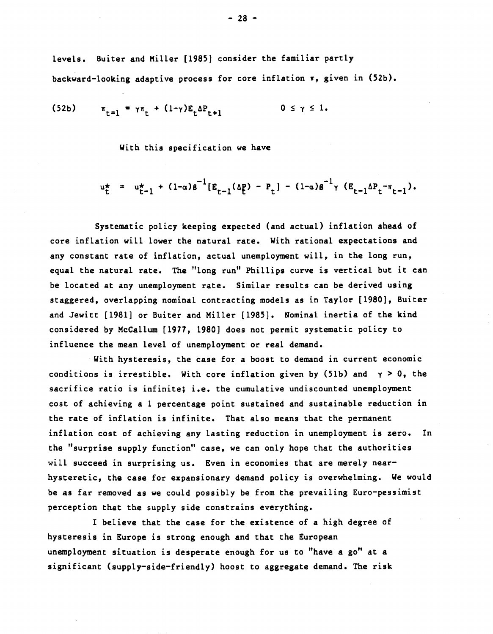levels. Buiter and Miller [1985] consider the familiar partly backward-looking adaptive process for core inflation  $\pi$ , given in (52b).

(52b) 
$$
\pi_{t=1} = \gamma \pi_t + (1 - \gamma) E_t \Delta P_{t+1}
$$
 0  $\leq \gamma \leq 1$ .

With this specification we have

$$
u_{t}^{*} = u_{t-1}^{*} + (1-a)s^{-1}[E_{t-1}(\Delta_{t}^{p}) - P_{t}] - (1-a)s^{-1}\gamma(E_{t-1}\Delta_{t}^{p} - \pi_{t-1}).
$$

Systematic policy keeping expected (and actual) inflation ahead of core inflation will lower the natural rate. With rational expectations and any constant rate of inflation, actual unemployment will, in the long run, equal the natural rate. The "long run" Phillips curve is vertical but it can be located at any unemployment rate. Similar results can be derived using staggered, overlapping nominal contracting models as in Taylor [1980], Buiter and Jewitt [1981] or Buiter and Miller [1985]. Nominal inertia of the kind considered by McCallum (1977, 1980] does not permit systematic policy to influence the mean level of unemployment or real demand.

With hysteresis, the case for a boost to demand in current economic conditions is irrestible. With core inflation given by (51b) and  $\gamma > 0$ , the sacrifice ratio is infinite; i.e. the cumulative undiscounted unemployment cost of achieving a 1 percentage point sustained and sustainable reduction in the rate of inflation is infinite. That also means that the permanent inflation cost of achieving any lasting reduction in unemployment is zero. In the "surprise supply function" case, we can only hope that the authorities will succeed in surprising us. Even in economies that are merely nearhysteretic, the case for expansionary demand policy is overwhelming. We would be as far removed as we could possibly be from the prevailing Euro-pessimist perception that the supply side constrains everything.

I believe that the case for the existence of a high degree of hysteresis in Europe is strong enough and that the European unemployment situation is desperate enough for us to "have a go" at a significant (supply—side—friendly) hoost to aggregate demand. The risk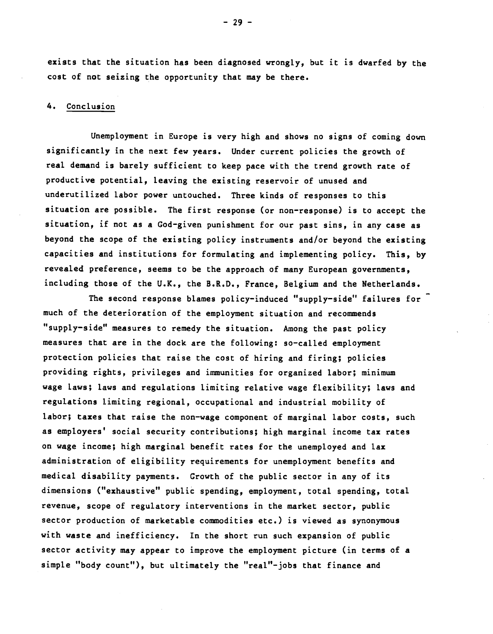exists that the situation has been diagnosed wrongly, but it is dwarfed by the cost of not seizing the opportunity that may be there.

### 4. Conclusion

Unemployment in Europe is very high and shows no signs of coming down significantly in the next few years. Under current policies the growth of real demand is barely sufficient to keep pace with the trend growth rate of productive potential, leaving the existing reservoir of unused and underutilized labor power untouched. Three kinds of responses to this situation are possible. The first response (or non-response) is to accept the situation, if not as a God-given punishment for our past sins, in any case as beyond the scope of the existing policy instruments and/or beyond the existing capacities and institutions for formulating and implementing policy. This, by revealed preference, seems to be the approach of many European governments, including those of the U.K., the B.R.D., France, Belgium and the Netherlands.  $\blacksquare$ 

The second response blames policy-induced "supply-side" failures for much of the deterioration of the employment situation and recommends "supply—side" measures to remedy the situation. Among the past policy measures that are in the dock are the following: so—called employment protection policies that raise the cost of hiring and firing; policies providing rights, privileges and immunities for organized labor; minimum wage laws; laws and regulations limiting relative wage flexibility; laws and regulations limiting regional, occupational and industrial mobility of labor; taxes that raise the non-wage component of marginal labor costs, such as employers' social security contributions; high marginal income tax rates on wage income; high marginal benefit rates for the unemployed and lax administration of eligibility requirements for unemployment benefits and medical disability payments. Growth of the public sector in any of its dimensions ("exhaustive" public spending, employment, total spending, total revenue, scope of regulatory interventions in the market sector, public sector production of marketable commodities etc.) is viewed as synonymous with waste and inefficiency. In the short run such expansion of public sector activity may appear to improve the employment picture (in terms of a simple "body count"), but ultimately the "real"-jobs that finance and

 $-29 -$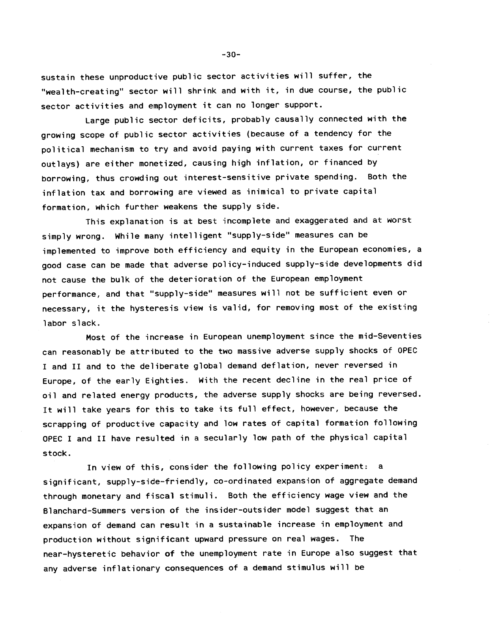sustain these unproductive public sector activities will suffer, the "wealth-creating" sector will shrink and with it, in due course, the public sector activities and employment it can no longer support.

Large public sector deficits, probably causally connected with the growing scope of public sector activities (because of a tendency for the political mechanism to try and avoid paying with current taxes for current outlays) are either monetized, causing high inflation, or financed by borrowing, thus crowding out interest-sensitive private spending. Both the inflation tax and borrowing are viewed as inimical to private capital formation, which further weakens the supply side.

This explanation is at best incomplete and exaggerated and at worst simply wrong. While many intelligent "supply-side" measures can be implemented to improve both efficiency and equity in the European economies, a good case can be made that adverse policy-induced supply-side developments did not cause the bulk of the deterioration of the European employment performance, and that "supply-side" measures will not be sufficient even or necessary, it the hysteresis view is valid, for removing most of the existing labor slack.

Most of the increase in European unemployment since the mid-Seventies can reasonably be attributed to the two massive adverse supply shocks of OPEC I and II and to the deliberate global demand deflation, never reversed in Europe, of the early Eighties. With the recent decline in the real price of oil and related energy products, the adverse supply shocks are being reversed. It will take years for this to take its full effect, however, because the scrapping of productive capacity and low rates of capital formation following OPEC I and II have resulted in a secularly low path of the physical capital stock.

In view of this, consider the following policy experiment: a significant, supply-side-friendly, co-ordinated expansion of aggregate demand through monetary and fiscal stimuli. Both the efficiency wage view and the Blanchard-Summers version of the insider-outsider model suggest that an expansion of demand can result in a sustainable increase in employment and production without significant upward pressure on real wages. The near—hysteretic behavior of the unemployment rate in Europe also suggest that any adverse inflationary consequences of a demand stimulus will be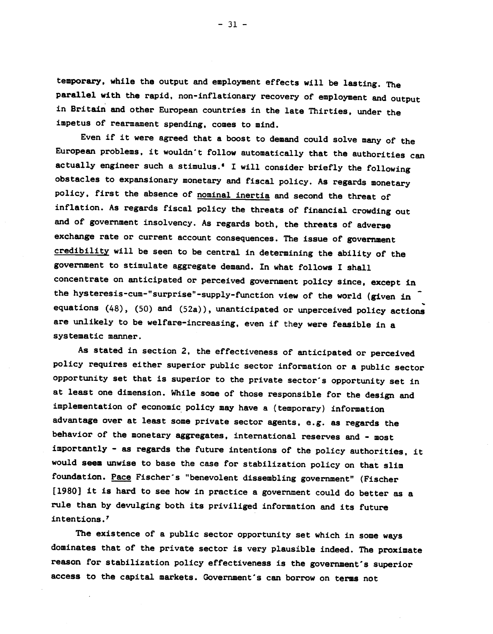temporary, while the output and employment effects will be lasting. The parallel with the rapid, non-inflationary recovery of employment and output in Britain and other European countries in the late Thirties, under the impetus of rearmament spending, comes to mind.

Even if it were agreed that a boost to demand could solve many of the European problems, it wouldn't follow automatically that the authorities can actually engineer such a stimulus.' I will consider briefly the following obstacles to expansionary monetary and fiscal policy. As regards monetary policy, first the absence of nominal inertia and second the threat of inflation. As regards fiscal policy the threats of financial crowding out and of government insolvency. As regards both, the threats of adverse exchange rate or current account consequences. The issue of government credibility will be seen to be central in determining the ability of the government to stimulate aggregate demand. In what follows I shall concentrate on anticipated or perceived government policy since, except in the hysteresis-cum-"surprise"-supply-function view of the world (given in equations (48), (50) and (52a)), unanticipated or unperceived policy actions are unlikely to be welfare-increasing, even if they were feasible in a systematic manner.

As stated in section 2, the effectiveness of anticipated or perceived policy requires either superior public sector information or a public sector opportunity set that is superior to the private sector's opportunity set in at least one dimension. While some of those responsible for the design and implementation of economic policy may have a (temporary) information advantage over at least some private sector agents, e.g. as regards the behavior of the monetary aggregates, international reserves and - most importantly - as regards the future intentions of the policy authorities, it would seem unwise to base the case for stabilization policy on that slim foundation. Pace Fischer's "benevolent dissembling government" (Fischer [1980] it is hard to see how in practice a government could do better as a rule than by devulging both its priviliged information and its future intentions.'

The existence of a public sector opportunity set which in some ways dominates that of the private sector is very plausible indeed. The proximate reason for stabilization policy effectiveness is the government's superior access to the capital markets. Government's can borrow on terms not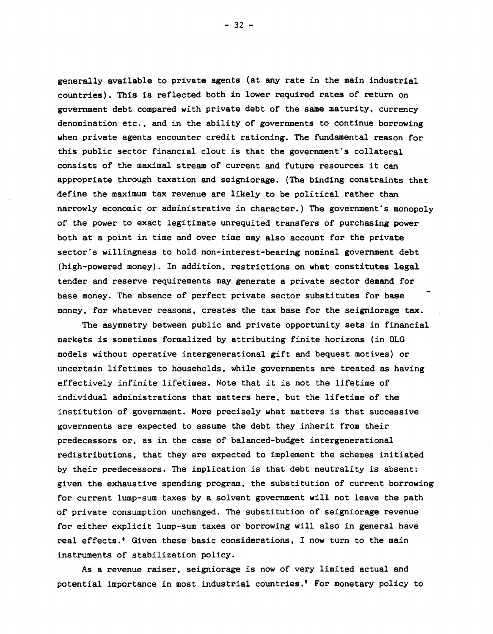generally available to private agents (at any rate in the main industrial countries). This is reflected both in lower required rates of return on government debt compared with private debt of the same maturity, currency denomination etc., and in the ability of governments to continue borrowing when private agents encounter credit rationing. The fundamental reason for this public sector financial clout is that the government's collateral consists of the maximal stream of current and future resources it can appropriate through taxation and seigniorage. (The binding constraints that define the maximum tax revenue are likely to be political rather than narrowly economic or administrative in character.) The government's monopoly of the power to exact legitimate unrequited transfers of purchasing power both at a point in time and over time may also account for the private sector's willingness to hold non-interest-bearing nominal government debt (high-powered money). In addition, restrictions on what constitutes legal tender and reserve requirements may generate a private sector demand for base money. The absence of perfect private sector substitutes for base money, for whatever reasons, creates the tax base for the seigniorage tax.

The asymmetry between public and private opportunity sets in financial markets is sometimes formalized by attributing finite horizons (in OLG models without operative intergenerational gift and bequest motives) or uncertain lifetimes to households, while governments are treated as having effectively infinite lifetimes. Note that it is not the lifetime of individual administrations that matters here, but the lifetime of the institution of government. More precisely what matters is that successive governments are expected to assume the debt they inherit from their predecessors or, as in the case of balanced-budget intergenerational redistributions, that they are expected to implement the schemes initiated by their predecessors. The implication is that debt neutrality is absent: given the exhaustive spending program, the substitution of current borrowing for current lump-sum taxes by a solvent government will not leave the path of private consumption unchanged. The substitution of seigniorage revenue for either explicit lump-sum taxes or borrowing will also in general have real effects.<sup>®</sup> Given these basic considerations, I now turn to the main instruments of stabilization policy.

As a revenue raiser, seigniorage is now of very limited actual and potential importance in most industrial countries.' For monetary policy to

— 32 —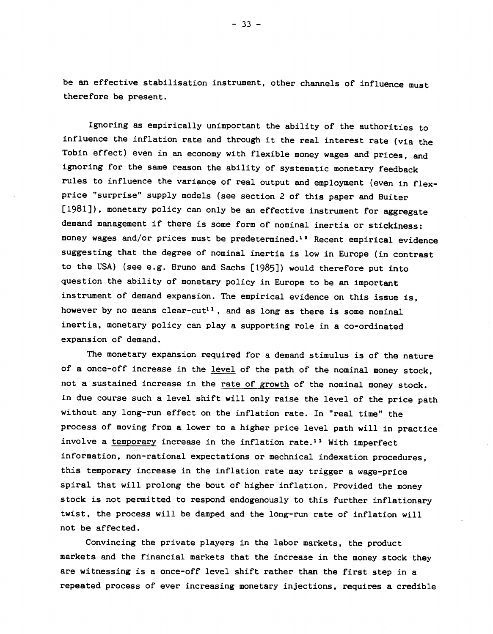be an effective stabilisation instrument, other channels of influence must therefore be present.

Ignoring as empirically unimportant the ability of the authorities to influence the inflation rate and through it the real interest rate (via the Tobin effect) even in an economy with flexible money wages and prices, and ignoring for the same reason the ability of systematic monetary feedback rules to influence the variance of real output and employment (even in flexprice "surprise" supply models (see section 2 of this paper and Buiter [1981]), monetary policy can only be an effective instrument for aggregate demand management if there is some form of nominal inertia or stickiness: money wages and/or prices must be predetermined.<sup>10</sup> Recent empirical evidence suggesting that the degree of nominal inertia is low in Europe (in contrast to the USA) (see e.g. Bruno and Sachs [1985]) would therefore put into question the ability of monetary policy in Europe to be an important instrument of demand expansion. The empirical evidence on this issue is, however by no means clear-cut<sup>11</sup>, and as long as there is some nominal inertia, monetary policy can play a supporting role in a co-ordinated expansion of demand.

The monetary expansion required for a demand stimulus is of the nature of a once-off increase in the level of the path of the nominal money stock, not a sustained increase in the rate of growth of the nominal money stock. In due course such a level shift will only raise the level of the price path without any long-run effect on the inflation rate. In "real time" the process of moving from a lower to a higher price level path will in practice involve a temporary increase in the inflation rate.<sup>13</sup> With imperfect information, non-rational expectations or mechnical indexation procedures, this temporary increase in the inflation rate may trigger a wage-price spiral that will prolong the bout of higher inflation. Provided the money stock is not permitted to respond endogenously to this further inflationary twist, the process will be damped and the long-run rate of inflation will not be affected.

Convincing the private players in the labor markets, the product markets and the financial markets that the increase in the money stock they are witnessing is a once-off level shift rather than the first step in a repeated process of ever increasing monetary injections, requires a credible

 $-33 -$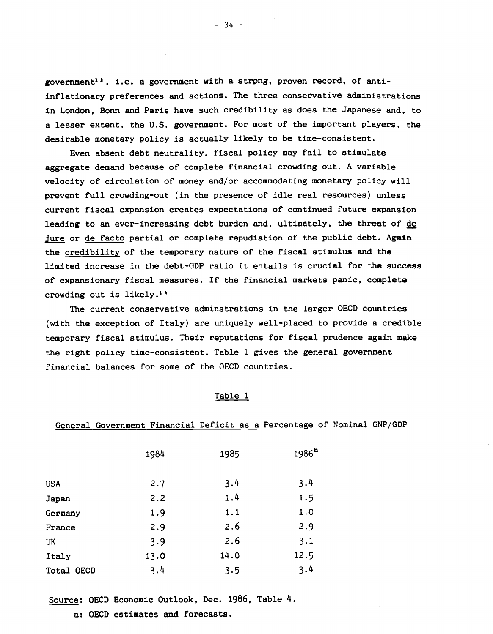government<sup>13</sup>, i.e. a government with a strong, proven record, of antiinflationary, preferences and actions. The three conservative administrations in London, Bonn and Paris have such credibility as does the Japanese and, to a lesser extent, the U.S. government. For most of the important players, the desirable monetary policy is actually likely to be time-consistent.

Even absent debt neutrality, fiscal policy may fail to stimulate aggregate demand because of complete financial crowding out. A variable velocity of circulation of money and/or accommodating monetary policy will prevent full crowding-out (in the presence of idle real resources) unless current fiscal expansion creates expectations of continued future expansion leading to an ever-increasing debt burden and, ultimately, the threat of de jure or de facto partial or complete repudiation of the public debt. Again the credibility of the temporary nature of the fiscal stimulus and the limited increase in the debt-GDP ratio it entails is crucial for the success of expansionary fiscal measures. If the financial markets panic, complete crowding out is likely.1"

The current conservative adminstrations in the larger OECD countries (with the exception of Italy) are uniquely well-placed to provide a credible temporary fiscal stimulus. Their reputations for fiscal prudence again make the right policy time-consistent. Table 1 gives the general government financial balances for some of the OECD countries.

|--|

|            |      |      | General Government Financial Deficit as a Percentage of Nominal GNP/GDP |  |
|------------|------|------|-------------------------------------------------------------------------|--|
|            | 1984 | 1985 | 1986 <sup>a</sup>                                                       |  |
| <b>USA</b> | 2.7  | 3.4  | 3.4                                                                     |  |
| Japan      | 2.2  | 1.4  | 1.5                                                                     |  |
| Germany    | 1.9  | 1.1  | 1.0                                                                     |  |
| France     | 2.9  | 2.6  | 2.9                                                                     |  |
| UK         | 3.9  | 2.6  | 3.1                                                                     |  |
| Italy      | 13.0 | 14.0 | 12.5                                                                    |  |
| Total OECD | 3.4  | 3.5  | 3.4                                                                     |  |

Source: OECD Economic Outlook, Dec. 1986, Table 4.

a: OECD estimates and forecasts.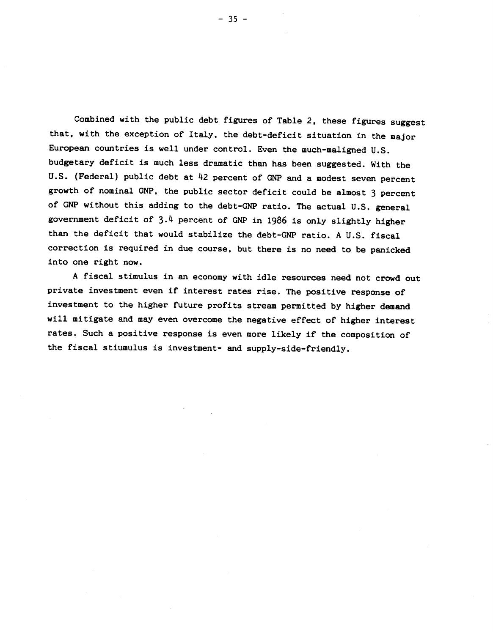Combined with the public debt figures of Table 2, these figures suggest that, with the exception of Italy, the debt-deficit situation in the major European countries is well under control. Even the much-maligned U.S. budgetary deficit is much less dramatic than has been suggested. With the U.S. (Federal) public debt at 42 percent of GNP and a modest seven percent growth of nominal GNP, the public sector deficit could be almost 3 percent of GNP without this adding to the debt-CNP ratio. The actual U.S. general government deficit of 3.4 percent of GNP in 1986 is only slightly higher than the deficit that would stabilize the debt-GNP ratio. A U.S. fiscal correction is required in due course, but there is no need to be panicked into one right now.

A fiscal stimulus in an economy with idle resources need not crowd out private investment even if interest rates rise. The positive response of investment to the higher future profits stream permitted by higher demand will mitigate and may even overcome the negative effect of higher interest rates. Such a positive response is even more likely if the composition of the fiscal stiumulus is investment- and supply-side-friendly.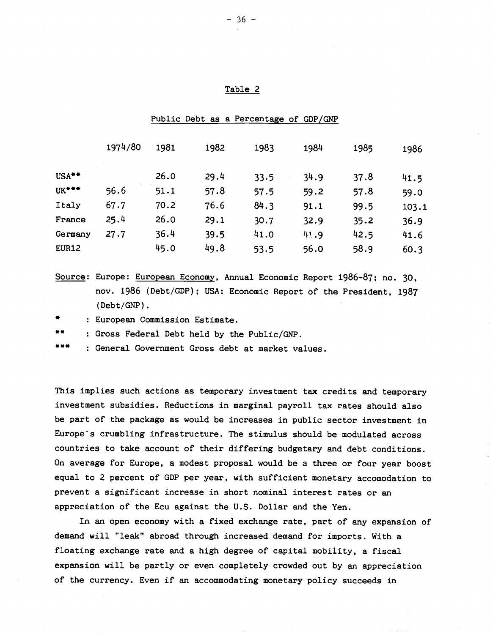#### Table 2

|                   | 1974/80 | 1981 | 1982 | 1983 | 1984 | 1985 | 1986  |
|-------------------|---------|------|------|------|------|------|-------|
| USA <sup>**</sup> |         | 26.0 | 29.4 | 33.5 | 34.9 | 37.8 | 41.5  |
| UK***             | 56.6    | 51.1 | 57.8 | 57.5 | 59.2 | 57.8 | 59.0  |
| Italy             | 67.7    | 70.2 | 76.6 | 84.3 | 91.1 | 99.5 | 103.1 |
| France            | 25.4    | 26.0 | 29.1 | 30.7 | 32.9 | 35.2 | 36.9  |
| Germany           | 27.7    | 36.4 | 39.5 | 41.0 | 41.9 | 42.5 | 41.6  |
| EUR12             |         | 45.0 | 49.8 | 53.5 | 56.0 | 58.9 | 60.3  |

#### Public Debt as a Percentage of GDP/GNP

Source: Europe: European Economy, Annual Economic Report 1986-87; no. 30, nov. 1986 (Debt/GDP); USA: Economic Report of the President, 1987 (Debt/GNP).

: European Commission Estimate.

: Gross Federal Debt held by the Public/GNP.

General Government Gross debt at market values.

This implies such actions as temporary investment tax credits and temporary investment subsidies. Reductions in marginal payroll tax rates should also be part of the package as would be increases in public sector investment in Europe's crumbling infrastructure. The stimulus should be modulated across countries to take account of their differing budgetary and debt conditions. On average for Europe, a modest proposal would be a three or four year boost equal to 2 percent of GDP per year, with sufficient monetary accomodation to prevent a significant increase in short nominal interest rates or an appreciation of the Ecu against the U.S. Dollar and the Yen.

In an open economy with a fixed exchange rate, part of any expansion of demand will "leak" abroad through increased demand for imports. With a floating exchange rate and a high degree of capital mobility, a fiscal expansion will be partly or even completely crowded out by an appreciation of the currency. Even if an accommodating monetary policy succeeds in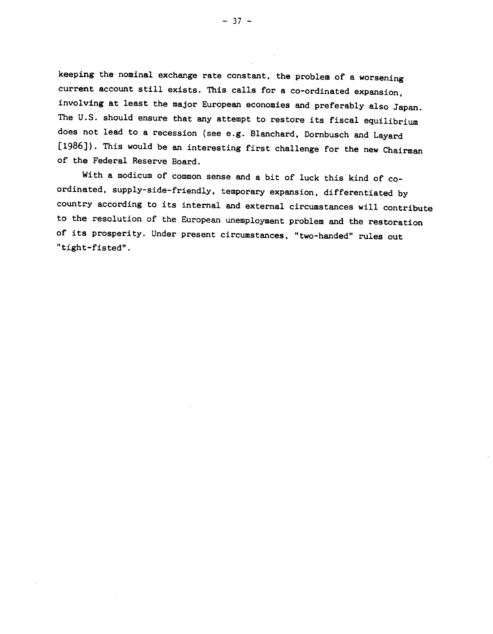keeping the nominal exchange rate constant, the problem of a worsening current account still exists. This calls for a co-ordinated expansion,<br>involving at least the major European economies and preferably also Japan. The U.S. should ensure that any attempt to restore its fiscal equilibrium<br>does not lead to a recession (see e.g. Blanchard, Dornbusch and Layard [1986]). This would be an interesting first challenge for the new Chairman of the Federal Reserve Board.

With a modicum of common sense and a bit of luck this kind of coordinated, supply-side-friendly, temporary expansion, differentiated by country according to its internal and external circumstances will contribute to the resolution of the European unemployment problem and the restoration of its prosperity. Under present circumstances, "two-handed" rules out "tight—fisted".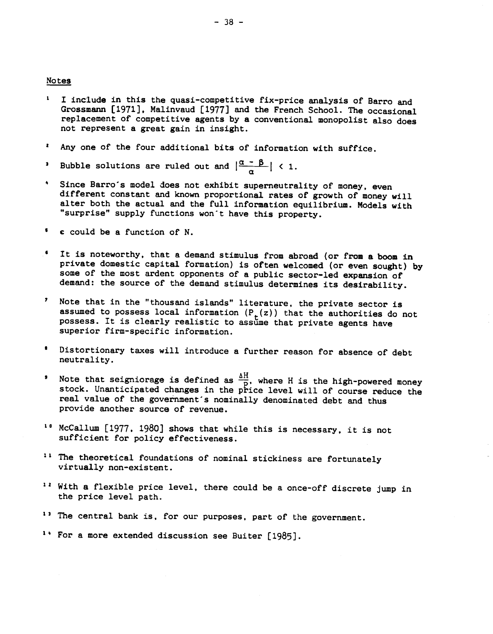#### Notes

- I include in this the quasi-competitive fix-price analysis of Barro and  $\mathbf{I}$ Grossmann (1971), Malinvaud [1977) and the French School. The occasional replacement of competitive agents by a conventional monopolist also does not represent a great gain in insight.
- Any one of the four additional bits of information with suffice.
- Bubble solutions are ruled out and  $\left|\frac{\alpha \beta}{\alpha}\right|$  < 1.
- Since Barro's model does not exhibit superneutrality of money, even different constant and known proportional rates of growth of money will alter both the actual and the full information equilibrium. Models with "surprise" supply functions won't have this property.
- c could be a function of N.
- It is noteworthy, that a demand stimulus from abroad (or from a boom in private domestic capital formation) is often welcomed (or even sought) by some of the most ardent opponents of a public sector-led expansion of demand: the source of the demand stimulus determines its desirability.
- Note that in the "thousand islands" literature, the private sector is assumed to possess local information  $(P<sub>+</sub>(z))$  that the authorities do not possess. It is clearly realistic to assume that private agents have superior firm-specific information.
- Distortionary taxes will introduce a further reason for absence of debt neutrality.
- 'Note that seigniorage is defined as  $\frac{\Delta H}{D}$ , where H is the high-powered money stock. Unanticipated changes in the price level will of course reduce the real value of the government's nominally denominated debt and thus provide another source of revenue.
- <sup>10</sup> McCallum [1977, 1980] shows that while this is necessary, it is not sufficient for policy effectiveness.
- <sup>11</sup> The theoretical foundations of nominal stickiness are fortunately virtually non-existent.
- <sup>12</sup> With a flexible price level, there could be a once-off discrete jump in the price level path.
- <sup>13</sup> The central bank is, for our purposes, part of the government.
- ' For a more extended discussion see Buiter [1985).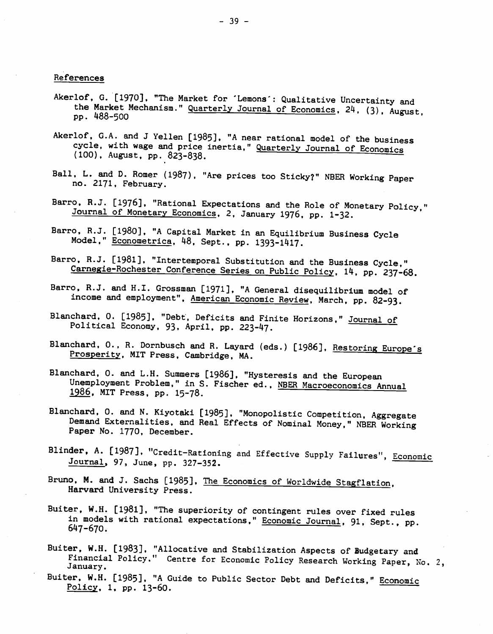# References

- Akerlof, G. [1970], "The Market for 'Lemons': Qualitative Uncertainty and the Market Mechanism." Quarterly Journal of Economics, 24, (3), August, pp. 488-500
- Akerlof, G.A. and J Yellen [1985], "A near rational model of the business cycle, with wage and price inertia," Quarterly Journal of Economics (100), August, pp.823-838.
- Ball, L. and D. Romer (1987), "Are prices too Sticky?" NBER Working Paper no. 2171, February.
- Barro, R.J. [1976], "Rational Expectations and the Role of Monetary Policy," Journal of Monetary Economics, 2, January 1976, pp. 1-32.
- Barro, R.J. [1980], "A Capital Market in an Equilibrium Business Cycle Model," Econometrica, 48, Sept., pp. 1393-1417.
- Barro, R.J. [1981], "Intertemporal Substitution and the Business Cycle," Carnegie-Rochester Conference Series on Public Policy, 14, pp. 237-68.
- Barro, R.J. and H.I. Grossman [1971], "A General disequilibrium model of' income and employment", American Economic Review, March, pp. 82-93.
- Blanchard, O. [1985], "Debt, Deficits and Finite Horizons," Journal of Political Economy, 93, April, pp. 223-47.
- Blanchard, O., R. Dornbusch and R. Layard (eds.) [1986], Restoring Europe's Prosperity, MIT Press, Cambridge, MA.
- Blanchard, 0. and L.H. Summers [1986], "Hysteresis and the European Unemployment Problem," in S. Fischer ed., NBER Macroeconomics Annual 1986, MIT Press, pp. 15-78.
- Blanchard, 0. and N. Kiyotaki [1985], "Monopolistic Competition, Aggregate Demand Externalities, and Real Effects of Nominal Money," NBER Working Paper No. 1770, December.
- Blinder, A. [1987], "Credit-Rationing and Effective Supply Failures", Economic Journal, 97, June, pp. 327—352.
- Bruno, M. and J. Sachs [1985], The Economics of Worldwide Stagflation, Harvard University Press.
- Buiter, W.H. [1981], "The superiority of contingent rules over fixed rules in models with rational expectations," Economic Journal, 91, Sept., pp. 647-670.
- Buiter, W.H. [1983], "Allocative and Stabilization Aspects of Budgetary and Financial Policy." Centre for Economic Policy Research Working Paper, No. 2, January.
- Buiter, W.H. [1985], "A Guide to Public Sector Debt and Deficits," Economic Policy, 1, pp. 13-60.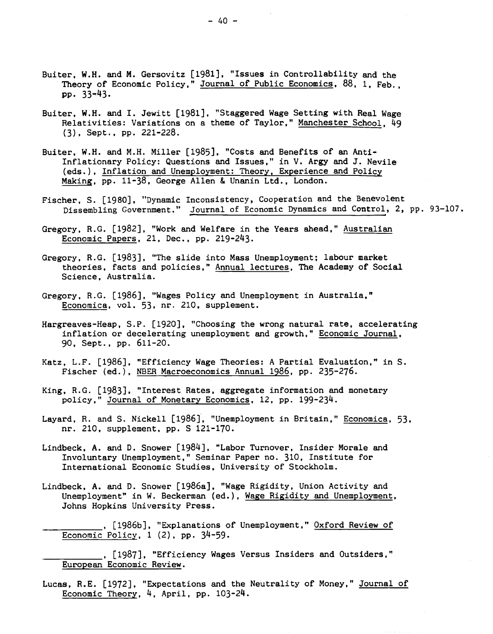- Buiter, W.H. and M. Gersovitz [1981), "Issues in Controllability and the Theory of Economic Policy," Journal of Public Economics, 88, 1, Feb., pp. 33—43.
- Buiter, W.H. and I. Jewitt [1981), "Staggered Wage Setting with Real Wage Relativities: Variations on a theme of Taylor," Manchester School, 49 (3), Sept., pp. 221-228.
- Buiter, W.H. and M.H. Miller [1985], "Costs and Benefits of an Anti-Inflationary Policy: Questions and Issues," in V. Argy and 3. Nevile (eds.), Inflation and Unemployment: Theory, Experience and Policy Making, pp. 11-38, George Allen & Unanin Ltd., London.
- Fischer, S. [1980], "Dynamic Inconsistency, Cooperation and the Benevolent Dissembling Government." Journal of Economic Dynamics and Control, 2, pp. 93—107.
- Gregory, R.G. [1982], "Work and Welfare in the Years ahead," Australian Economic Papers, 21, Dec., pp. 219-243.
- Gregory, R.G. [1983), "The slide into Mass Unemployment; labour market theories, facts and policies," Annual lectures, The Academy of Social Science, Australia.
- Gregory, R.G. [1986], "Wages Policy and Unemployment in Australia," Economica, vol. 53, nr. 210, supplement.
- Hargreaves-Heap, S.P. [1920], "Choosing the wrong natural rate, accelerating inflation or decelerating unemployment and growth," Economic Journal, 90, Sept., pp. 611-20.
- Katz, L.F. [1986], "Efficiency Wage Theories: A Partial Evaluation," in S. Fischer (ed.), NBER Macroeconomics Annual 1986, pp. 235-276.
- King, R.G. [1983]. "Interest Rates, aggregate information and monetary policy," Journal of Monetary Economics, 12, pp. 199-234.
- Layard, R. and S. Nickell [1986), "Unemployment in Britain," Economica, 53, nr. 210, supplement, pp. S 121-170.
- Lindbeck, A. and D. Snower [1984], "Labor Turnover, Insider Morale and Involuntary Unemployment," Seminar Paper no. 310, Institute for International Economic Studies, University of Stockholm.
- Lindbeck, A. and D. Snower [1986a], "Wage Rigidity, Union Activity and Unemployment" in W. Beckerman (ed.), Wage Rigidity and Unemployment, Johns Hopkins University Press.
	- . [1986b], "Explanations of Unemployment," Oxford Review of Economic Policy, 1 (2), pp. 34-59.

\_\_\_\_\_\_\_\_\_\_\_ [1987], "Efficiency Wages Versus Insiders and Outsiders," European Economic Review.

Lucas, R.E. [1972), "Expectations and the Neutrality of Money," Journal of Economic Theory, 4, April, pp. 103-24.